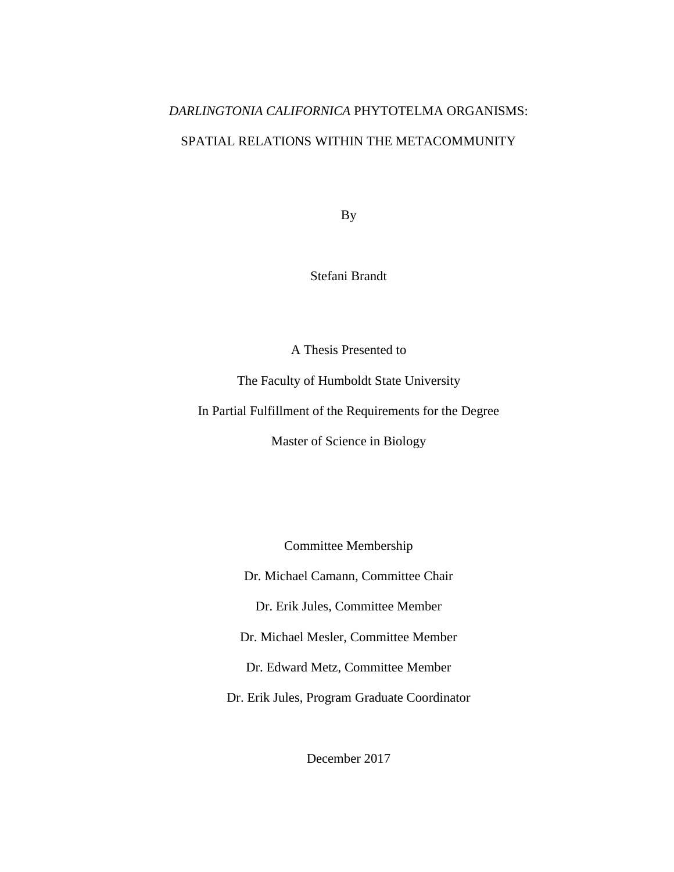# *DARLINGTONIA CALIFORNICA* PHYTOTELMA ORGANISMS:

# SPATIAL RELATIONS WITHIN THE METACOMMUNITY

By

Stefani Brandt

A Thesis Presented to

The Faculty of Humboldt State University

In Partial Fulfillment of the Requirements for the Degree

Master of Science in Biology

Committee Membership

Dr. Michael Camann, Committee Chair

Dr. Erik Jules, Committee Member

Dr. Michael Mesler, Committee Member

Dr. Edward Metz, Committee Member

Dr. Erik Jules, Program Graduate Coordinator

December 2017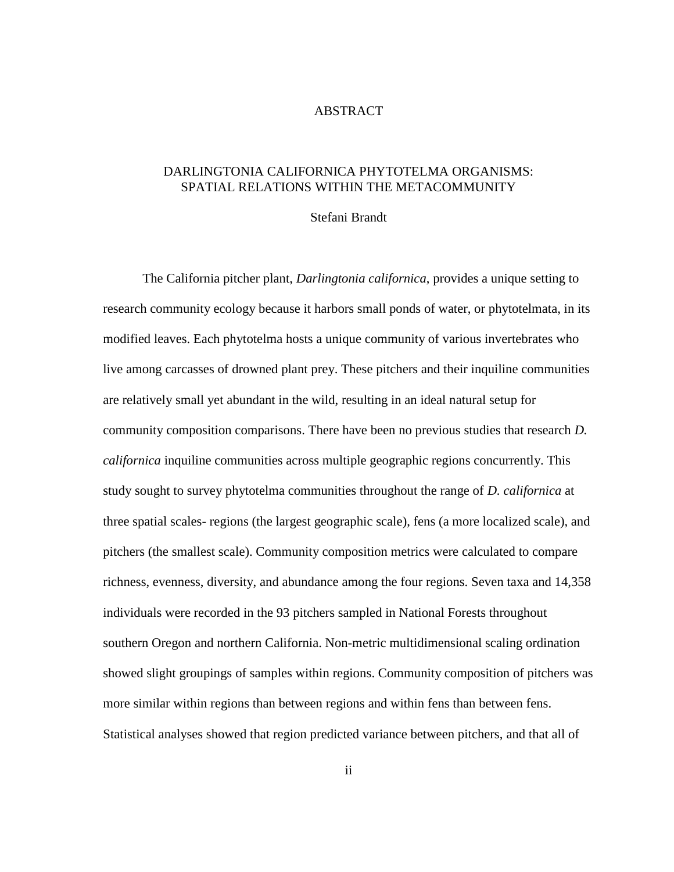#### ABSTRACT

## <span id="page-1-0"></span>DARLINGTONIA CALIFORNICA PHYTOTELMA ORGANISMS: SPATIAL RELATIONS WITHIN THE METACOMMUNITY

## Stefani Brandt

The California pitcher plant, *Darlingtonia californica*, provides a unique setting to research community ecology because it harbors small ponds of water, or phytotelmata, in its modified leaves. Each phytotelma hosts a unique community of various invertebrates who live among carcasses of drowned plant prey. These pitchers and their inquiline communities are relatively small yet abundant in the wild, resulting in an ideal natural setup for community composition comparisons. There have been no previous studies that research *D. californica* inquiline communities across multiple geographic regions concurrently. This study sought to survey phytotelma communities throughout the range of *D. californica* at three spatial scales- regions (the largest geographic scale), fens (a more localized scale), and pitchers (the smallest scale). Community composition metrics were calculated to compare richness, evenness, diversity, and abundance among the four regions. Seven taxa and 14,358 individuals were recorded in the 93 pitchers sampled in National Forests throughout southern Oregon and northern California. Non-metric multidimensional scaling ordination showed slight groupings of samples within regions. Community composition of pitchers was more similar within regions than between regions and within fens than between fens. Statistical analyses showed that region predicted variance between pitchers, and that all of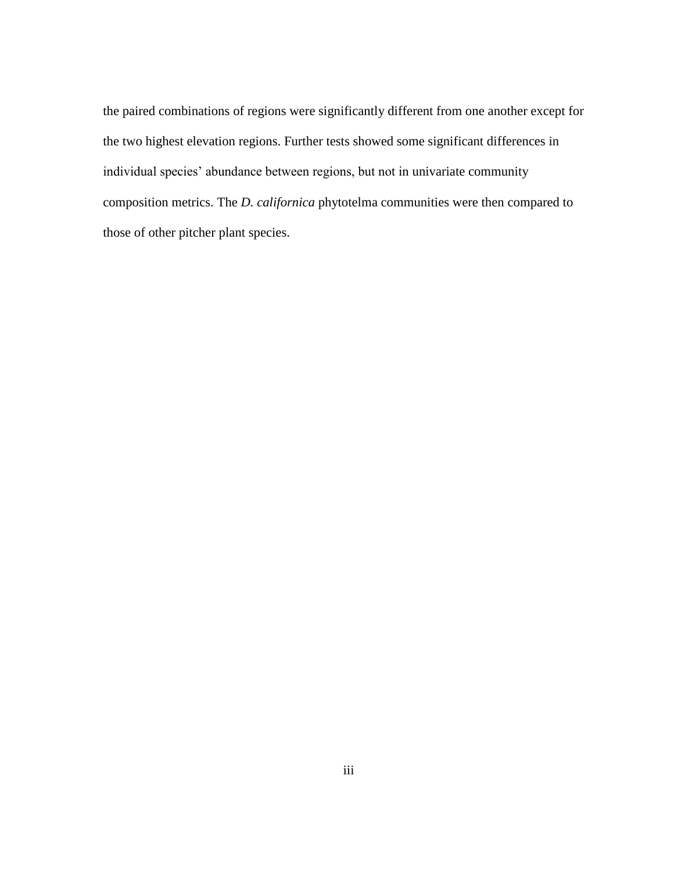the paired combinations of regions were significantly different from one another except for the two highest elevation regions. Further tests showed some significant differences in individual species' abundance between regions, but not in univariate community composition metrics. The *D. californica* phytotelma communities were then compared to those of other pitcher plant species.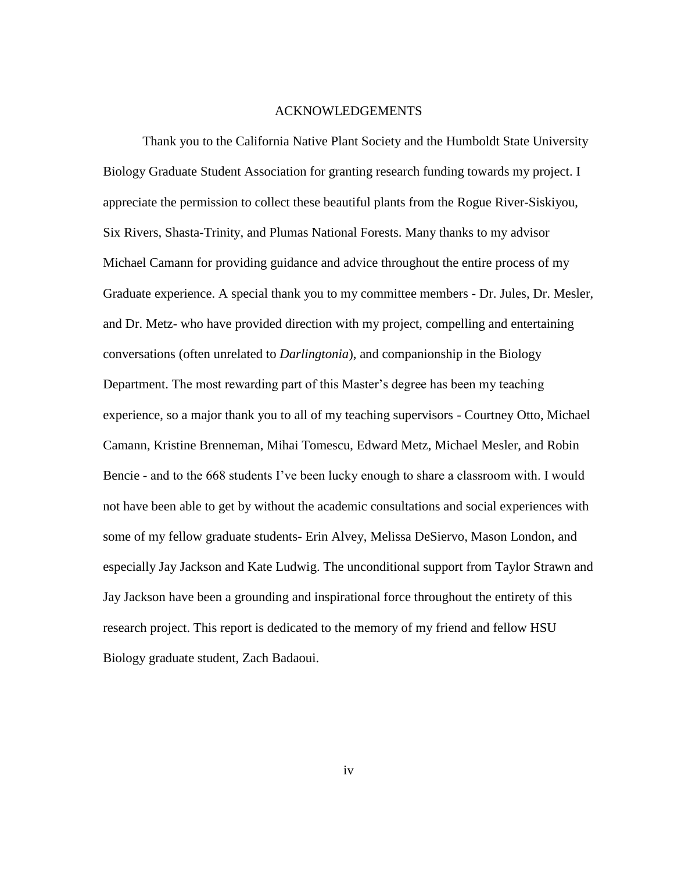#### ACKNOWLEDGEMENTS

<span id="page-3-0"></span>Thank you to the California Native Plant Society and the Humboldt State University Biology Graduate Student Association for granting research funding towards my project. I appreciate the permission to collect these beautiful plants from the Rogue River-Siskiyou, Six Rivers, Shasta-Trinity, and Plumas National Forests. Many thanks to my advisor Michael Camann for providing guidance and advice throughout the entire process of my Graduate experience. A special thank you to my committee members - Dr. Jules, Dr. Mesler, and Dr. Metz- who have provided direction with my project, compelling and entertaining conversations (often unrelated to *Darlingtonia*), and companionship in the Biology Department. The most rewarding part of this Master's degree has been my teaching experience, so a major thank you to all of my teaching supervisors - Courtney Otto, Michael Camann, Kristine Brenneman, Mihai Tomescu, Edward Metz, Michael Mesler, and Robin Bencie - and to the 668 students I've been lucky enough to share a classroom with. I would not have been able to get by without the academic consultations and social experiences with some of my fellow graduate students- Erin Alvey, Melissa DeSiervo, Mason London, and especially Jay Jackson and Kate Ludwig. The unconditional support from Taylor Strawn and Jay Jackson have been a grounding and inspirational force throughout the entirety of this research project. This report is dedicated to the memory of my friend and fellow HSU Biology graduate student, Zach Badaoui.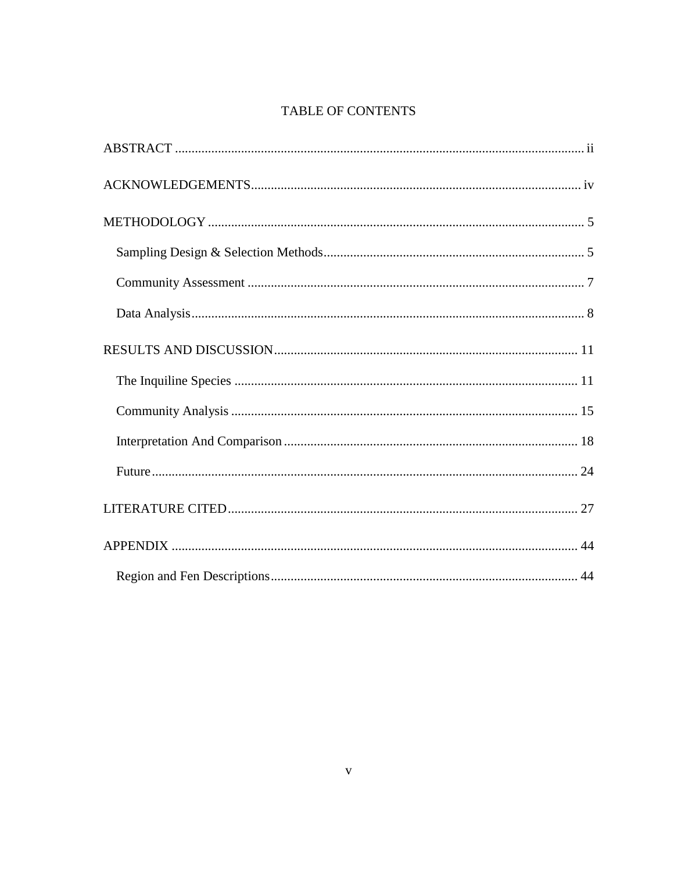# TABLE OF CONTENTS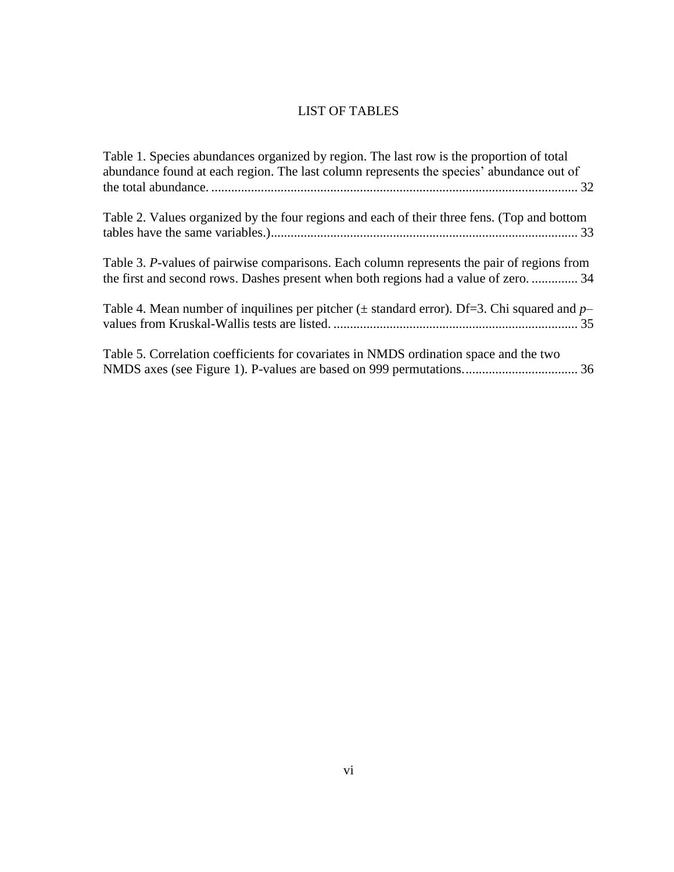# LIST OF TABLES

| Table 1. Species abundances organized by region. The last row is the proportion of total<br>abundance found at each region. The last column represents the species' abundance out of |
|--------------------------------------------------------------------------------------------------------------------------------------------------------------------------------------|
| Table 2. Values organized by the four regions and each of their three fens. (Top and bottom                                                                                          |
| Table 3. P-values of pairwise comparisons. Each column represents the pair of regions from<br>the first and second rows. Dashes present when both regions had a value of zero.  34   |
| Table 4. Mean number of inquilines per pitcher ( $\pm$ standard error). Df=3. Chi squared and p-                                                                                     |
| Table 5. Correlation coefficients for covariates in NMDS ordination space and the two                                                                                                |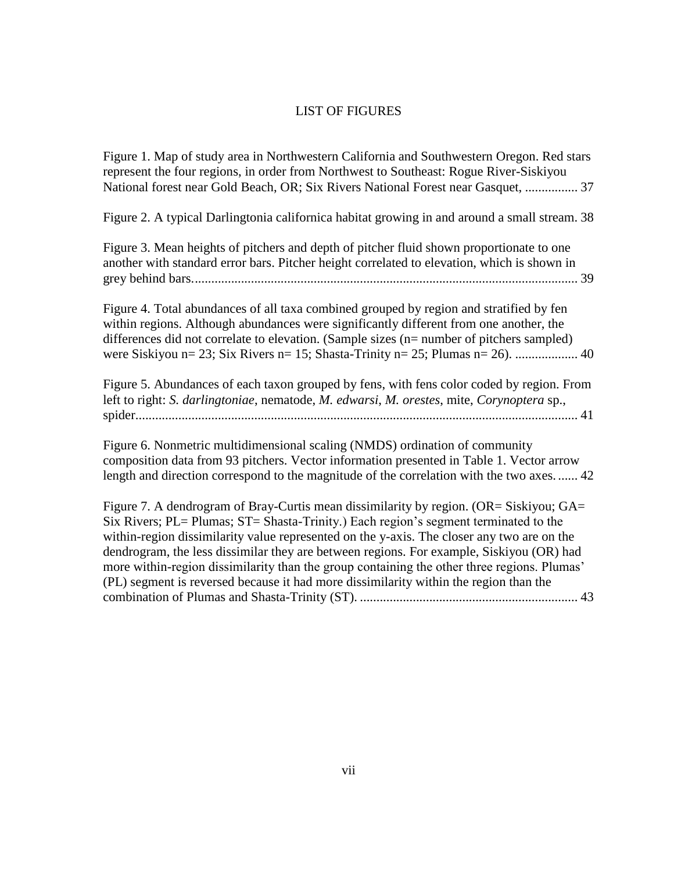## LIST OF FIGURES

[Figure 1. Map of study area in Northwestern California and Southwestern Oregon. Red stars](#page-43-0)  [represent the four regions, in order from Northwest to Southeast: Rogue River-Siskiyou](#page-43-0)  [National forest near Gold Beach, OR; Six Rivers National Forest near Gasquet,](#page-43-0) ................ 37

[Figure 2. A typical Darlingtonia californica habitat growing in and around a small stream.](#page-44-0) 38

[Figure 3. Mean heights of pitchers and depth of pitcher fluid shown proportionate to one](#page-45-0)  [another with standard error bars. Pitcher height correlated to elevation, which is shown in](#page-45-0)  [grey behind bars.....................................................................................................................](#page-45-0) 39

[Figure 4. Total abundances of all taxa combined grouped by region and stratified by fen](#page-46-0)  [within regions. Although abundances were significantly different from one another, the](#page-46-0)  [differences did not correlate to elevation. \(Sample sizes \(n= number of pitchers sampled\)](#page-46-0)  [were Siskiyou n= 23; Six Rivers n= 15; Shasta-Trinity n= 25; Plumas n= 26\).](#page-46-0) ................... 40

[Figure 5. Abundances of each taxon grouped by fens, with fens color coded by region. From](#page-47-0)  left to right: *[S. darlingtoniae](#page-47-0)*, nematode, *M. edwarsi*, *M. orestes*, mite, *Corynoptera* sp., [spider......................................................................................................................................](#page-47-0) 41

[Figure 6. Nonmetric multidimensional scaling \(NMDS\) ordination of community](#page-48-0)  [composition data from 93 pitchers. Vector information presented in Table 1. Vector arrow](#page-48-0)  [length and direction correspond to the magnitude of the correlation with the two axes.](#page-48-0) ...... 42

Figure 7. A dendrogram of Bray-Curtis mean dissimilarity by region. (OR= Siskiyou; GA= [Six Rivers; PL= Plumas; ST= Shasta-Trinity.\) Each region's segment terminated to the](file://///Users/stefanibrandt/Library/Containers/com.microsoft.Word/Data/Downloads/Brandt_Stefani_Fall2017.docx%23_Toc501279374)  [within-region dissimilarity value represented on the y-axis. The closer any two are on the](file://///Users/stefanibrandt/Library/Containers/com.microsoft.Word/Data/Downloads/Brandt_Stefani_Fall2017.docx%23_Toc501279374)  [dendrogram, the less dissimilar they are between regions. For example, Siskiyou \(OR\) had](file://///Users/stefanibrandt/Library/Containers/com.microsoft.Word/Data/Downloads/Brandt_Stefani_Fall2017.docx%23_Toc501279374)  [more within-region dissimilarity than the group containing the other three regions. Plumas'](file://///Users/stefanibrandt/Library/Containers/com.microsoft.Word/Data/Downloads/Brandt_Stefani_Fall2017.docx%23_Toc501279374)  [\(PL\) segment is reversed because it had more dissimilarity within the region than the](file://///Users/stefanibrandt/Library/Containers/com.microsoft.Word/Data/Downloads/Brandt_Stefani_Fall2017.docx%23_Toc501279374)  [combination of Plumas and Shasta-Trinity \(ST\).](file://///Users/stefanibrandt/Library/Containers/com.microsoft.Word/Data/Downloads/Brandt_Stefani_Fall2017.docx%23_Toc501279374) .................................................................. 43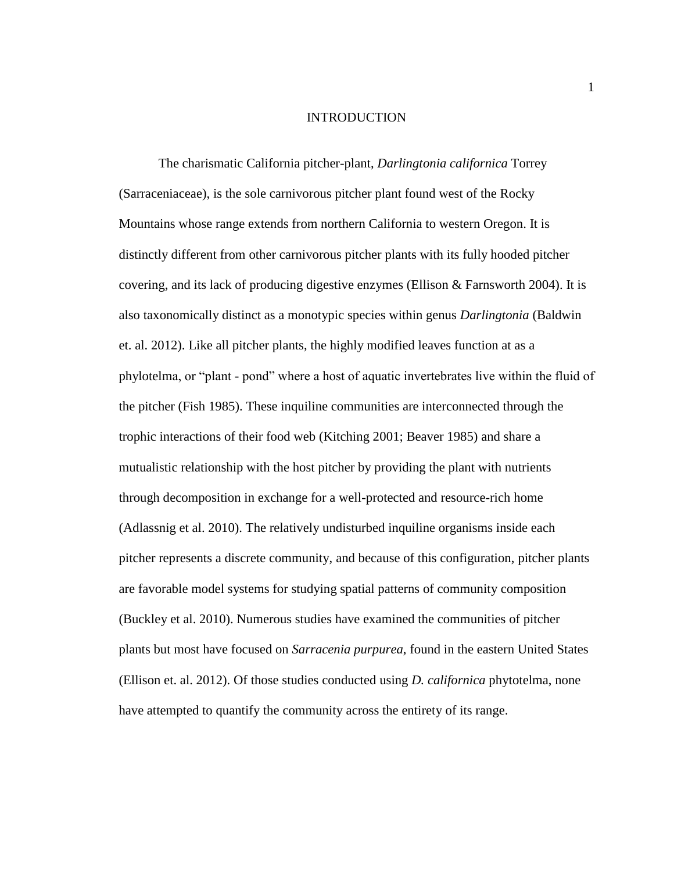#### INTRODUCTION

The charismatic California pitcher-plant, *Darlingtonia californica* Torrey (Sarraceniaceae), is the sole carnivorous pitcher plant found west of the Rocky Mountains whose range extends from northern California to western Oregon. It is distinctly different from other carnivorous pitcher plants with its fully hooded pitcher covering, and its lack of producing digestive enzymes (Ellison & Farnsworth 2004). It is also taxonomically distinct as a monotypic species within genus *Darlingtonia* (Baldwin et. al. 2012). Like all pitcher plants, the highly modified leaves function at as a phylotelma, or "plant - pond" where a host of aquatic invertebrates live within the fluid of the pitcher (Fish 1985). These inquiline communities are interconnected through the trophic interactions of their food web (Kitching 2001; Beaver 1985) and share a mutualistic relationship with the host pitcher by providing the plant with nutrients through decomposition in exchange for a well-protected and resource-rich home (Adlassnig et al. 2010). The relatively undisturbed inquiline organisms inside each pitcher represents a discrete community, and because of this configuration, pitcher plants are favorable model systems for studying spatial patterns of community composition (Buckley et al. 2010). Numerous studies have examined the communities of pitcher plants but most have focused on *Sarracenia purpurea*, found in the eastern United States (Ellison et. al. 2012). Of those studies conducted using *D. californica* phytotelma, none have attempted to quantify the community across the entirety of its range.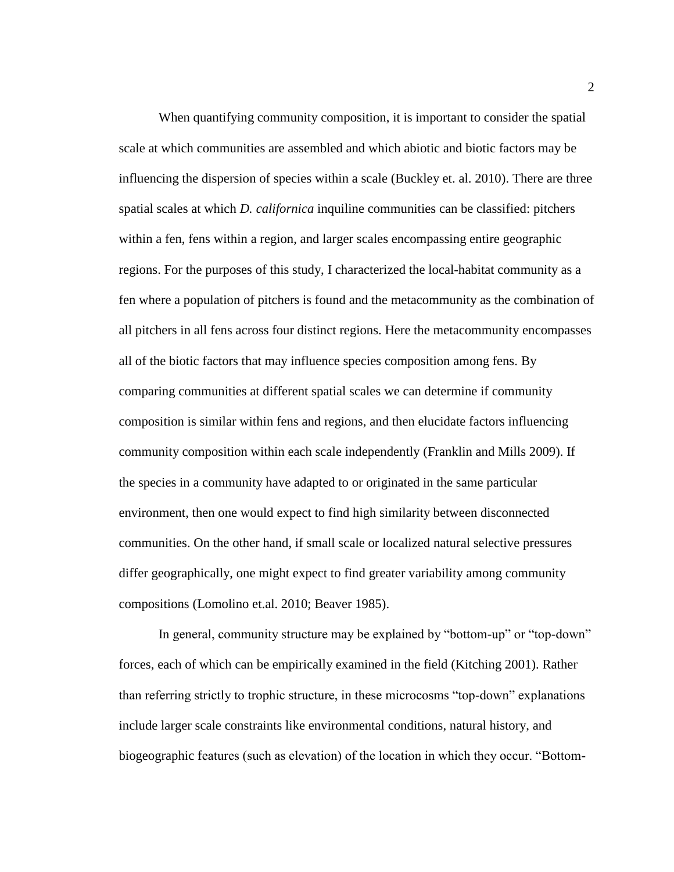When quantifying community composition, it is important to consider the spatial scale at which communities are assembled and which abiotic and biotic factors may be influencing the dispersion of species within a scale (Buckley et. al. 2010). There are three spatial scales at which *D. californica* inquiline communities can be classified: pitchers within a fen, fens within a region, and larger scales encompassing entire geographic regions. For the purposes of this study, I characterized the local-habitat community as a fen where a population of pitchers is found and the metacommunity as the combination of all pitchers in all fens across four distinct regions. Here the metacommunity encompasses all of the biotic factors that may influence species composition among fens. By comparing communities at different spatial scales we can determine if community composition is similar within fens and regions, and then elucidate factors influencing community composition within each scale independently (Franklin and Mills 2009). If the species in a community have adapted to or originated in the same particular environment, then one would expect to find high similarity between disconnected communities. On the other hand, if small scale or localized natural selective pressures differ geographically, one might expect to find greater variability among community compositions (Lomolino et.al. 2010; Beaver 1985).

In general, community structure may be explained by "bottom-up" or "top-down" forces, each of which can be empirically examined in the field (Kitching 2001). Rather than referring strictly to trophic structure, in these microcosms "top-down" explanations include larger scale constraints like environmental conditions, natural history, and biogeographic features (such as elevation) of the location in which they occur. "Bottom-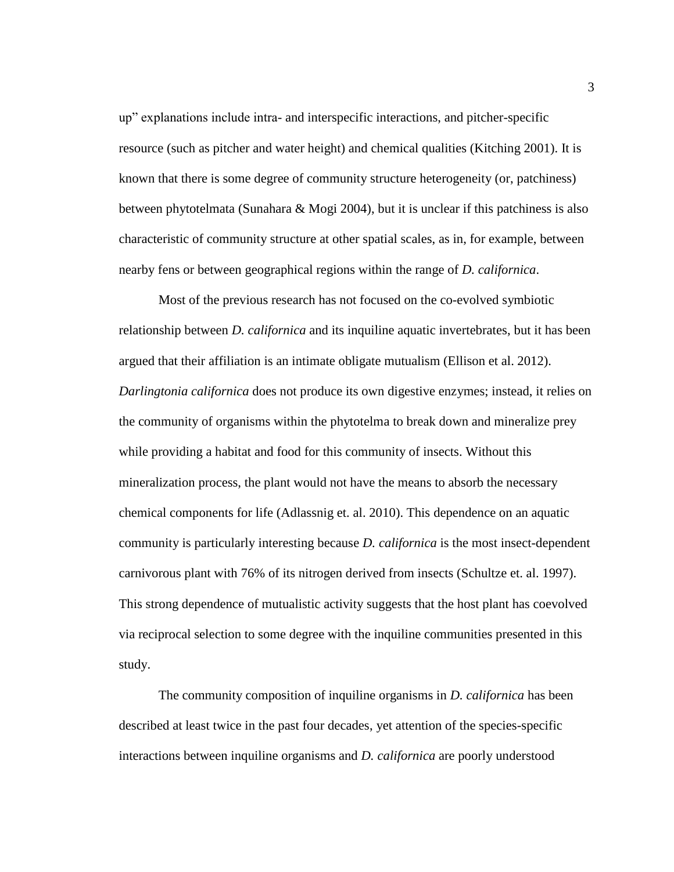up" explanations include intra- and interspecific interactions, and pitcher-specific resource (such as pitcher and water height) and chemical qualities (Kitching 2001). It is known that there is some degree of community structure heterogeneity (or, patchiness) between phytotelmata (Sunahara & Mogi 2004), but it is unclear if this patchiness is also characteristic of community structure at other spatial scales, as in, for example, between nearby fens or between geographical regions within the range of *D. californica*.

Most of the previous research has not focused on the co-evolved symbiotic relationship between *D. californica* and its inquiline aquatic invertebrates, but it has been argued that their affiliation is an intimate obligate mutualism (Ellison et al. 2012). *Darlingtonia californica* does not produce its own digestive enzymes; instead, it relies on the community of organisms within the phytotelma to break down and mineralize prey while providing a habitat and food for this community of insects. Without this mineralization process, the plant would not have the means to absorb the necessary chemical components for life (Adlassnig et. al. 2010). This dependence on an aquatic community is particularly interesting because *D. californica* is the most insect-dependent carnivorous plant with 76% of its nitrogen derived from insects (Schultze et. al. 1997). This strong dependence of mutualistic activity suggests that the host plant has coevolved via reciprocal selection to some degree with the inquiline communities presented in this study.

The community composition of inquiline organisms in *D. californica* has been described at least twice in the past four decades, yet attention of the species-specific interactions between inquiline organisms and *D. californica* are poorly understood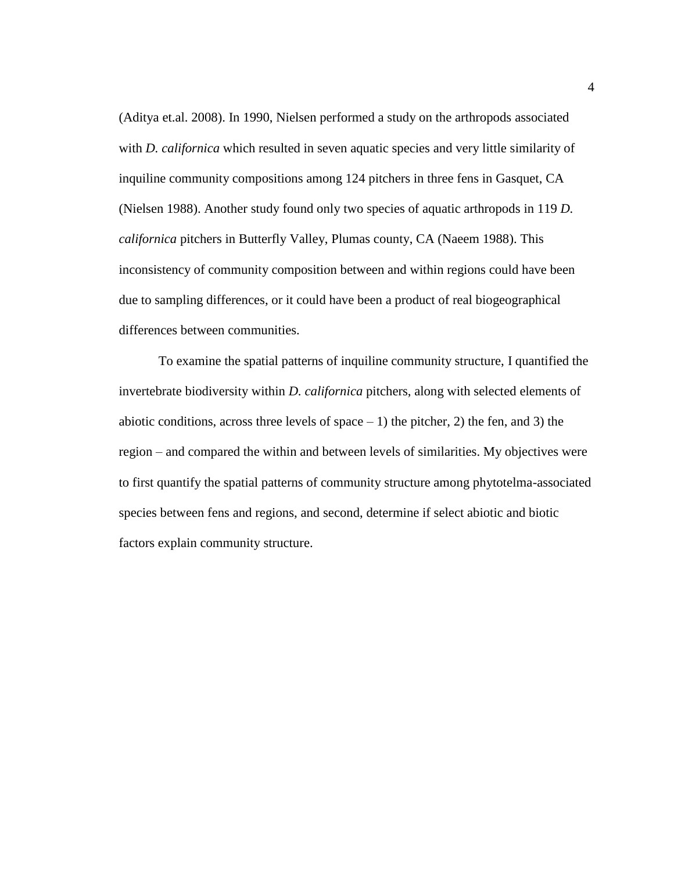(Aditya et.al. 2008). In 1990, Nielsen performed a study on the arthropods associated with *D. californica* which resulted in seven aquatic species and very little similarity of inquiline community compositions among 124 pitchers in three fens in Gasquet, CA (Nielsen 1988). Another study found only two species of aquatic arthropods in 119 *D. californica* pitchers in Butterfly Valley, Plumas county, CA (Naeem 1988). This inconsistency of community composition between and within regions could have been due to sampling differences, or it could have been a product of real biogeographical differences between communities.

To examine the spatial patterns of inquiline community structure, I quantified the invertebrate biodiversity within *D. californica* pitchers, along with selected elements of abiotic conditions, across three levels of space  $-1$ ) the pitcher, 2) the fen, and 3) the region – and compared the within and between levels of similarities. My objectives were to first quantify the spatial patterns of community structure among phytotelma-associated species between fens and regions, and second, determine if select abiotic and biotic factors explain community structure.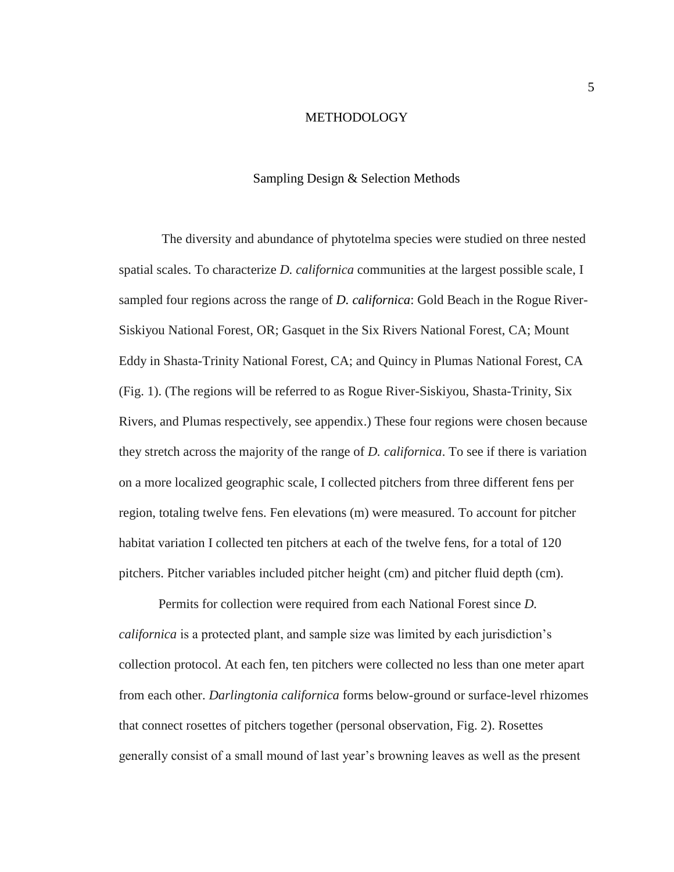#### METHODOLOGY

#### Sampling Design & Selection Methods

<span id="page-11-1"></span><span id="page-11-0"></span> The diversity and abundance of phytotelma species were studied on three nested spatial scales. To characterize *D. californica* communities at the largest possible scale, I sampled four regions across the range of *D. californica*: Gold Beach in the Rogue River-Siskiyou National Forest, OR; Gasquet in the Six Rivers National Forest, CA; Mount Eddy in Shasta-Trinity National Forest, CA; and Quincy in Plumas National Forest, CA (Fig. 1). (The regions will be referred to as Rogue River-Siskiyou, Shasta-Trinity, Six Rivers, and Plumas respectively, see appendix.) These four regions were chosen because they stretch across the majority of the range of *D. californica*. To see if there is variation on a more localized geographic scale, I collected pitchers from three different fens per region, totaling twelve fens. Fen elevations (m) were measured. To account for pitcher habitat variation I collected ten pitchers at each of the twelve fens, for a total of 120 pitchers. Pitcher variables included pitcher height (cm) and pitcher fluid depth (cm).

Permits for collection were required from each National Forest since *D. californica* is a protected plant, and sample size was limited by each jurisdiction's collection protocol. At each fen, ten pitchers were collected no less than one meter apart from each other. *Darlingtonia californica* forms below-ground or surface-level rhizomes that connect rosettes of pitchers together (personal observation, Fig. 2). Rosettes generally consist of a small mound of last year's browning leaves as well as the present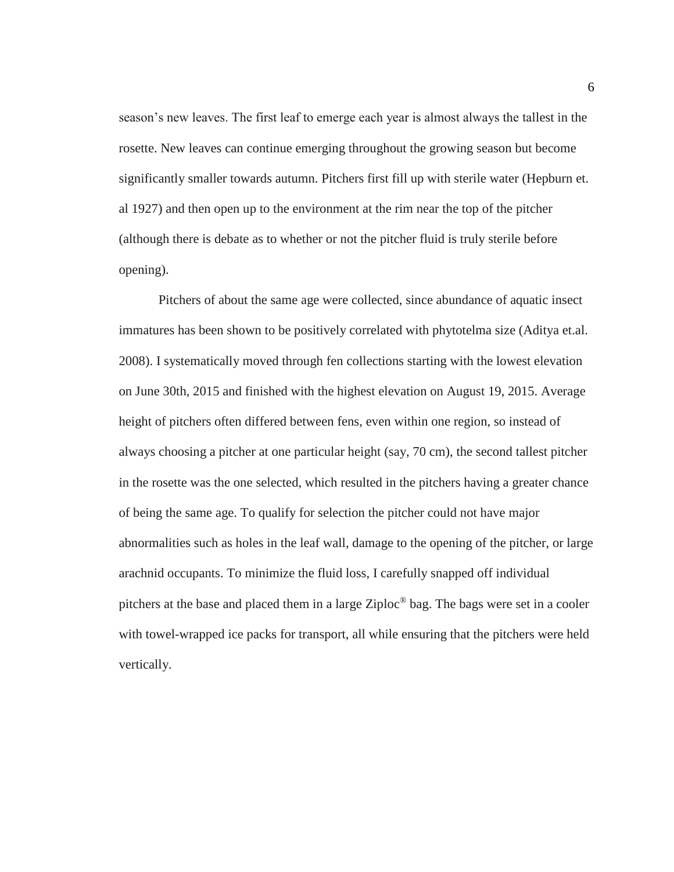season's new leaves. The first leaf to emerge each year is almost always the tallest in the rosette. New leaves can continue emerging throughout the growing season but become significantly smaller towards autumn. Pitchers first fill up with sterile water (Hepburn et. al 1927) and then open up to the environment at the rim near the top of the pitcher (although there is debate as to whether or not the pitcher fluid is truly sterile before opening).

Pitchers of about the same age were collected, since abundance of aquatic insect immatures has been shown to be positively correlated with phytotelma size (Aditya et.al. 2008). I systematically moved through fen collections starting with the lowest elevation on June 30th, 2015 and finished with the highest elevation on August 19, 2015. Average height of pitchers often differed between fens, even within one region, so instead of always choosing a pitcher at one particular height (say, 70 cm), the second tallest pitcher in the rosette was the one selected, which resulted in the pitchers having a greater chance of being the same age. To qualify for selection the pitcher could not have major abnormalities such as holes in the leaf wall, damage to the opening of the pitcher, or large arachnid occupants. To minimize the fluid loss, I carefully snapped off individual pitchers at the base and placed them in a large Ziploc® bag. The bags were set in a cooler with towel-wrapped ice packs for transport, all while ensuring that the pitchers were held vertically.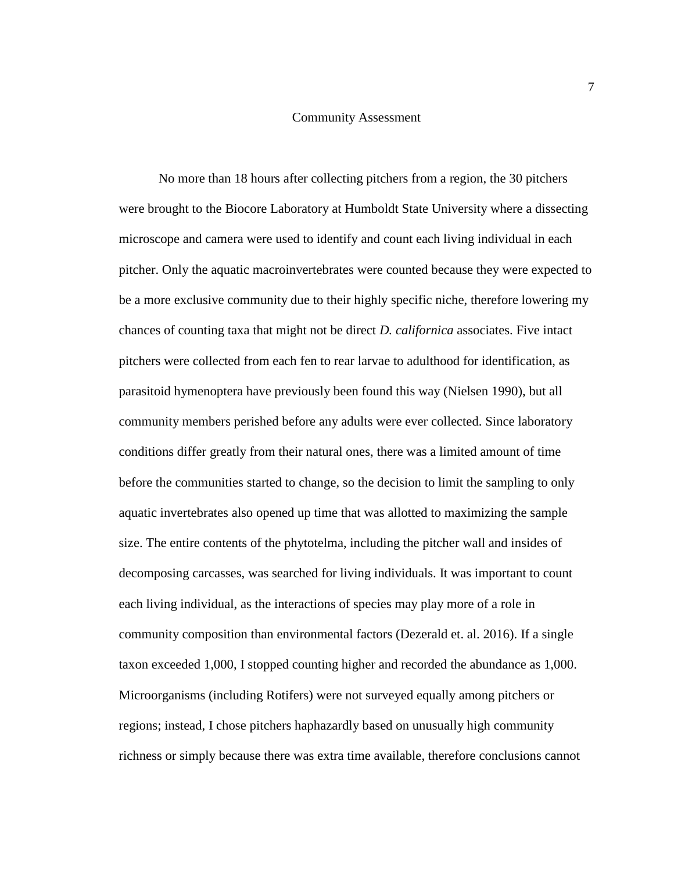#### Community Assessment

<span id="page-13-0"></span>No more than 18 hours after collecting pitchers from a region, the 30 pitchers were brought to the Biocore Laboratory at Humboldt State University where a dissecting microscope and camera were used to identify and count each living individual in each pitcher. Only the aquatic macroinvertebrates were counted because they were expected to be a more exclusive community due to their highly specific niche, therefore lowering my chances of counting taxa that might not be direct *D. californica* associates. Five intact pitchers were collected from each fen to rear larvae to adulthood for identification, as parasitoid hymenoptera have previously been found this way (Nielsen 1990), but all community members perished before any adults were ever collected. Since laboratory conditions differ greatly from their natural ones, there was a limited amount of time before the communities started to change, so the decision to limit the sampling to only aquatic invertebrates also opened up time that was allotted to maximizing the sample size. The entire contents of the phytotelma, including the pitcher wall and insides of decomposing carcasses, was searched for living individuals. It was important to count each living individual, as the interactions of species may play more of a role in community composition than environmental factors (Dezerald et. al. 2016). If a single taxon exceeded 1,000, I stopped counting higher and recorded the abundance as 1,000. Microorganisms (including Rotifers) were not surveyed equally among pitchers or regions; instead, I chose pitchers haphazardly based on unusually high community richness or simply because there was extra time available, therefore conclusions cannot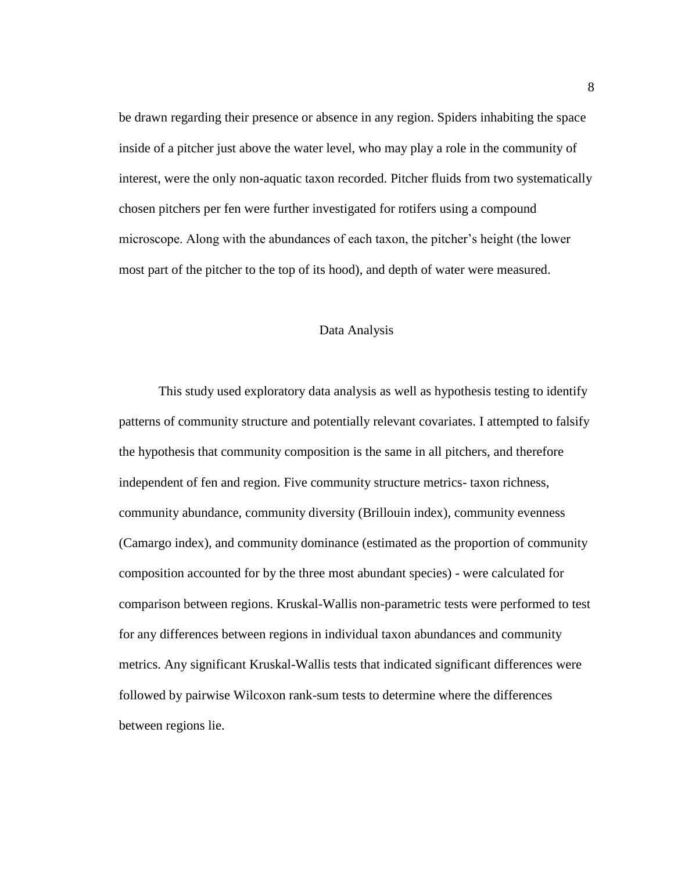be drawn regarding their presence or absence in any region. Spiders inhabiting the space inside of a pitcher just above the water level, who may play a role in the community of interest, were the only non-aquatic taxon recorded. Pitcher fluids from two systematically chosen pitchers per fen were further investigated for rotifers using a compound microscope. Along with the abundances of each taxon, the pitcher's height (the lower most part of the pitcher to the top of its hood), and depth of water were measured.

## Data Analysis

<span id="page-14-0"></span>This study used exploratory data analysis as well as hypothesis testing to identify patterns of community structure and potentially relevant covariates. I attempted to falsify the hypothesis that community composition is the same in all pitchers, and therefore independent of fen and region. Five community structure metrics- taxon richness, community abundance, community diversity (Brillouin index), community evenness (Camargo index), and community dominance (estimated as the proportion of community composition accounted for by the three most abundant species) - were calculated for comparison between regions. Kruskal-Wallis non-parametric tests were performed to test for any differences between regions in individual taxon abundances and community metrics. Any significant Kruskal-Wallis tests that indicated significant differences were followed by pairwise Wilcoxon rank-sum tests to determine where the differences between regions lie.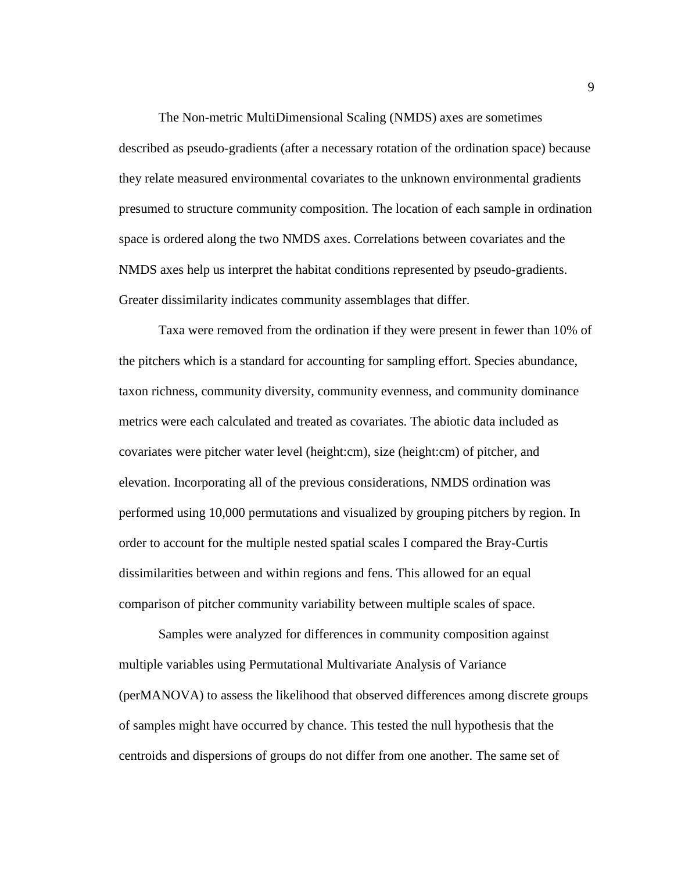The Non-metric MultiDimensional Scaling (NMDS) axes are sometimes described as pseudo-gradients (after a necessary rotation of the ordination space) because they relate measured environmental covariates to the unknown environmental gradients presumed to structure community composition. The location of each sample in ordination space is ordered along the two NMDS axes. Correlations between covariates and the NMDS axes help us interpret the habitat conditions represented by pseudo-gradients. Greater dissimilarity indicates community assemblages that differ.

Taxa were removed from the ordination if they were present in fewer than 10% of the pitchers which is a standard for accounting for sampling effort. Species abundance, taxon richness, community diversity, community evenness, and community dominance metrics were each calculated and treated as covariates. The abiotic data included as covariates were pitcher water level (height:cm), size (height:cm) of pitcher, and elevation. Incorporating all of the previous considerations, NMDS ordination was performed using 10,000 permutations and visualized by grouping pitchers by region. In order to account for the multiple nested spatial scales I compared the Bray-Curtis dissimilarities between and within regions and fens. This allowed for an equal comparison of pitcher community variability between multiple scales of space.

Samples were analyzed for differences in community composition against multiple variables using Permutational Multivariate Analysis of Variance (perMANOVA) to assess the likelihood that observed differences among discrete groups of samples might have occurred by chance. This tested the null hypothesis that the centroids and dispersions of groups do not differ from one another. The same set of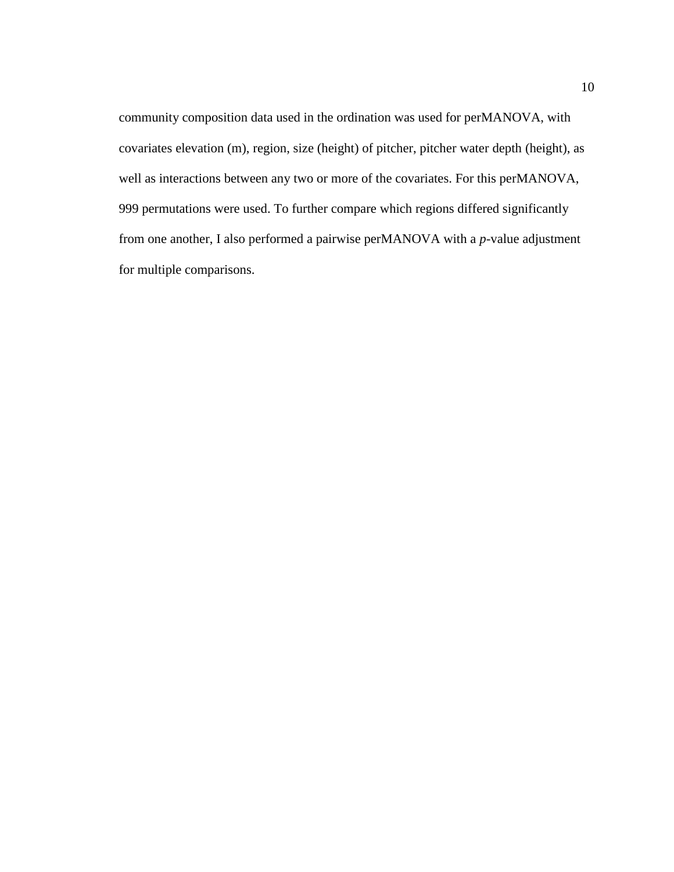community composition data used in the ordination was used for perMANOVA, with covariates elevation (m), region, size (height) of pitcher, pitcher water depth (height), as well as interactions between any two or more of the covariates. For this perMANOVA, 999 permutations were used. To further compare which regions differed significantly from one another, I also performed a pairwise perMANOVA with a *p*-value adjustment for multiple comparisons.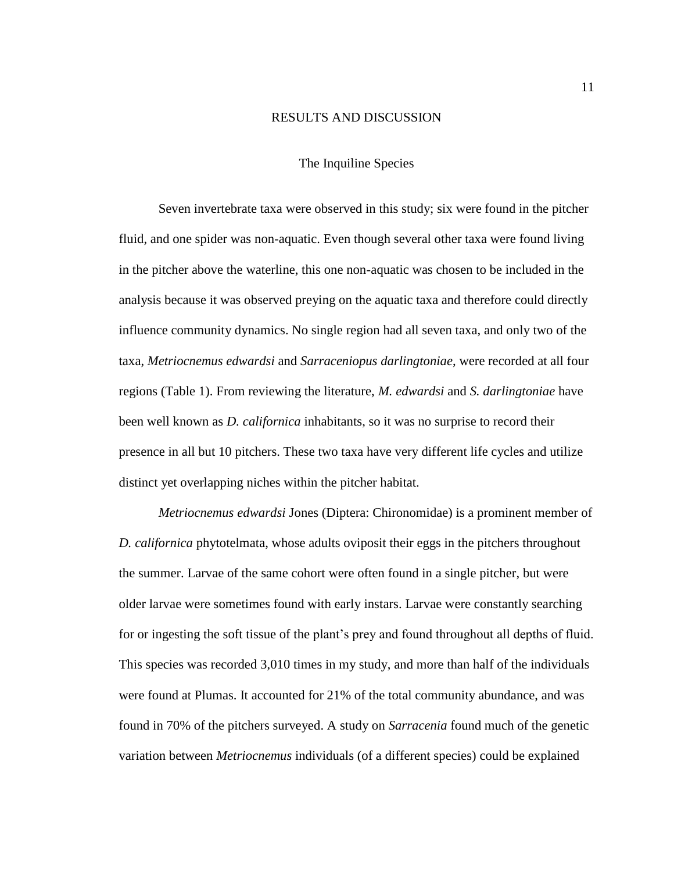#### RESULTS AND DISCUSSION

### The Inquiline Species

<span id="page-17-1"></span><span id="page-17-0"></span>Seven invertebrate taxa were observed in this study; six were found in the pitcher fluid, and one spider was non-aquatic. Even though several other taxa were found living in the pitcher above the waterline, this one non-aquatic was chosen to be included in the analysis because it was observed preying on the aquatic taxa and therefore could directly influence community dynamics. No single region had all seven taxa, and only two of the taxa, *Metriocnemus edwardsi* and *Sarraceniopus darlingtoniae*, were recorded at all four regions (Table 1). From reviewing the literature, *M. edwardsi* and *S. darlingtoniae* have been well known as *D. californica* inhabitants, so it was no surprise to record their presence in all but 10 pitchers. These two taxa have very different life cycles and utilize distinct yet overlapping niches within the pitcher habitat.

*Metriocnemus edwardsi* Jones (Diptera: Chironomidae) is a prominent member of *D. californica* phytotelmata, whose adults oviposit their eggs in the pitchers throughout the summer. Larvae of the same cohort were often found in a single pitcher, but were older larvae were sometimes found with early instars. Larvae were constantly searching for or ingesting the soft tissue of the plant's prey and found throughout all depths of fluid. This species was recorded 3,010 times in my study, and more than half of the individuals were found at Plumas. It accounted for 21% of the total community abundance, and was found in 70% of the pitchers surveyed. A study on *Sarracenia* found much of the genetic variation between *Metriocnemus* individuals (of a different species) could be explained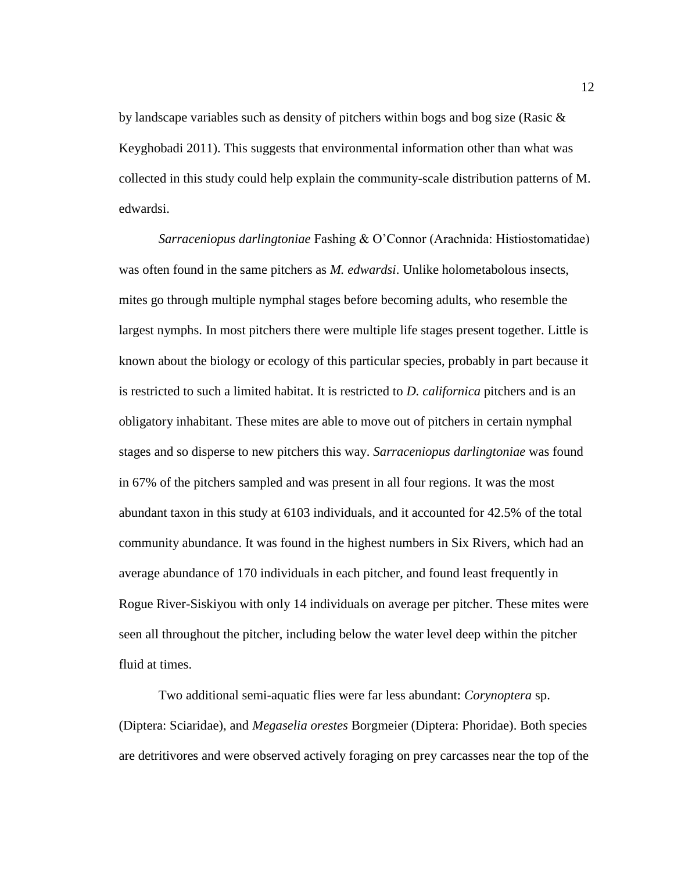by landscape variables such as density of pitchers within bogs and bog size (Rasic & Keyghobadi 2011). This suggests that environmental information other than what was collected in this study could help explain the community-scale distribution patterns of M. edwardsi.

*Sarraceniopus darlingtoniae* Fashing & O'Connor (Arachnida: Histiostomatidae) was often found in the same pitchers as *M. edwardsi*. Unlike holometabolous insects, mites go through multiple nymphal stages before becoming adults, who resemble the largest nymphs. In most pitchers there were multiple life stages present together. Little is known about the biology or ecology of this particular species, probably in part because it is restricted to such a limited habitat. It is restricted to *D. californica* pitchers and is an obligatory inhabitant. These mites are able to move out of pitchers in certain nymphal stages and so disperse to new pitchers this way. *Sarraceniopus darlingtoniae* was found in 67% of the pitchers sampled and was present in all four regions. It was the most abundant taxon in this study at 6103 individuals, and it accounted for 42.5% of the total community abundance. It was found in the highest numbers in Six Rivers, which had an average abundance of 170 individuals in each pitcher, and found least frequently in Rogue River-Siskiyou with only 14 individuals on average per pitcher. These mites were seen all throughout the pitcher, including below the water level deep within the pitcher fluid at times.

Two additional semi-aquatic flies were far less abundant: *Corynoptera* sp. (Diptera: Sciaridae), and *Megaselia orestes* Borgmeier (Diptera: Phoridae). Both species are detritivores and were observed actively foraging on prey carcasses near the top of the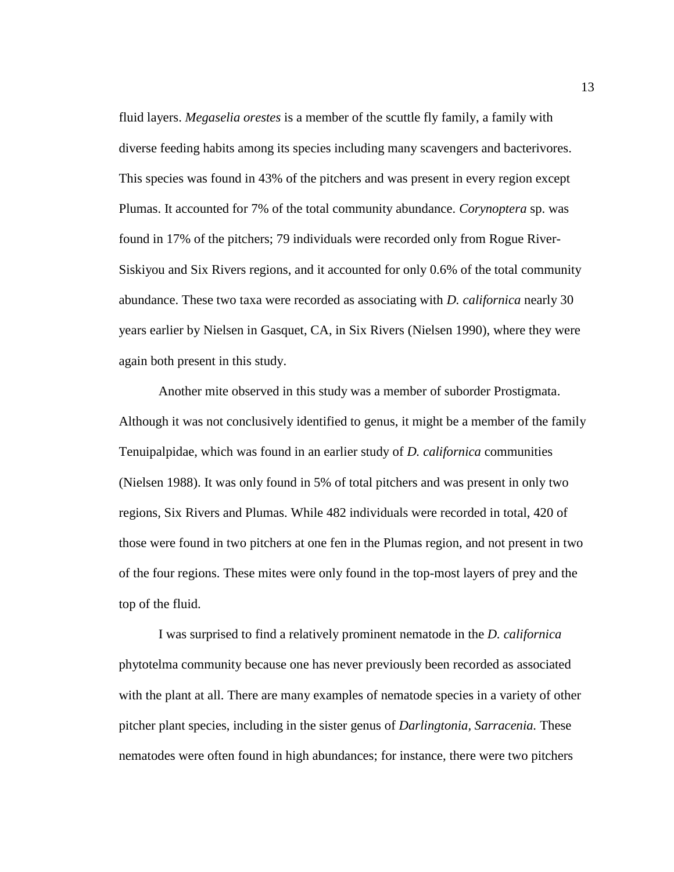fluid layers. *Megaselia orestes* is a member of the scuttle fly family, a family with diverse feeding habits among its species including many scavengers and bacterivores. This species was found in 43% of the pitchers and was present in every region except Plumas. It accounted for 7% of the total community abundance. *Corynoptera* sp. was found in 17% of the pitchers; 79 individuals were recorded only from Rogue River-Siskiyou and Six Rivers regions, and it accounted for only 0.6% of the total community abundance. These two taxa were recorded as associating with *D. californica* nearly 30 years earlier by Nielsen in Gasquet, CA, in Six Rivers (Nielsen 1990), where they were again both present in this study.

Another mite observed in this study was a member of suborder Prostigmata. Although it was not conclusively identified to genus, it might be a member of the family Tenuipalpidae, which was found in an earlier study of *D. californica* communities (Nielsen 1988). It was only found in 5% of total pitchers and was present in only two regions, Six Rivers and Plumas. While 482 individuals were recorded in total, 420 of those were found in two pitchers at one fen in the Plumas region, and not present in two of the four regions. These mites were only found in the top-most layers of prey and the top of the fluid.

I was surprised to find a relatively prominent nematode in the *D. californica* phytotelma community because one has never previously been recorded as associated with the plant at all. There are many examples of nematode species in a variety of other pitcher plant species, including in the sister genus of *Darlingtonia, Sarracenia.* These nematodes were often found in high abundances; for instance, there were two pitchers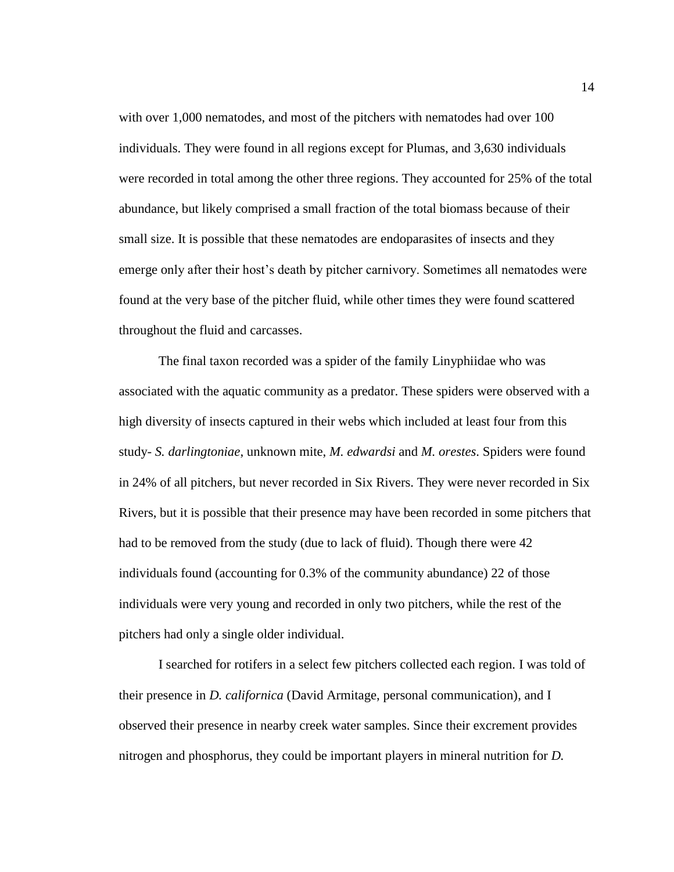with over 1,000 nematodes, and most of the pitchers with nematodes had over 100 individuals. They were found in all regions except for Plumas, and 3,630 individuals were recorded in total among the other three regions. They accounted for 25% of the total abundance, but likely comprised a small fraction of the total biomass because of their small size. It is possible that these nematodes are endoparasites of insects and they emerge only after their host's death by pitcher carnivory. Sometimes all nematodes were found at the very base of the pitcher fluid, while other times they were found scattered throughout the fluid and carcasses.

The final taxon recorded was a spider of the family Linyphiidae who was associated with the aquatic community as a predator. These spiders were observed with a high diversity of insects captured in their webs which included at least four from this study- *S. darlingtoniae*, unknown mite, *M. edwardsi* and *M. orestes*. Spiders were found in 24% of all pitchers, but never recorded in Six Rivers. They were never recorded in Six Rivers, but it is possible that their presence may have been recorded in some pitchers that had to be removed from the study (due to lack of fluid). Though there were 42 individuals found (accounting for 0.3% of the community abundance) 22 of those individuals were very young and recorded in only two pitchers, while the rest of the pitchers had only a single older individual.

I searched for rotifers in a select few pitchers collected each region. I was told of their presence in *D. californica* (David Armitage, personal communication), and I observed their presence in nearby creek water samples. Since their excrement provides nitrogen and phosphorus, they could be important players in mineral nutrition for *D.*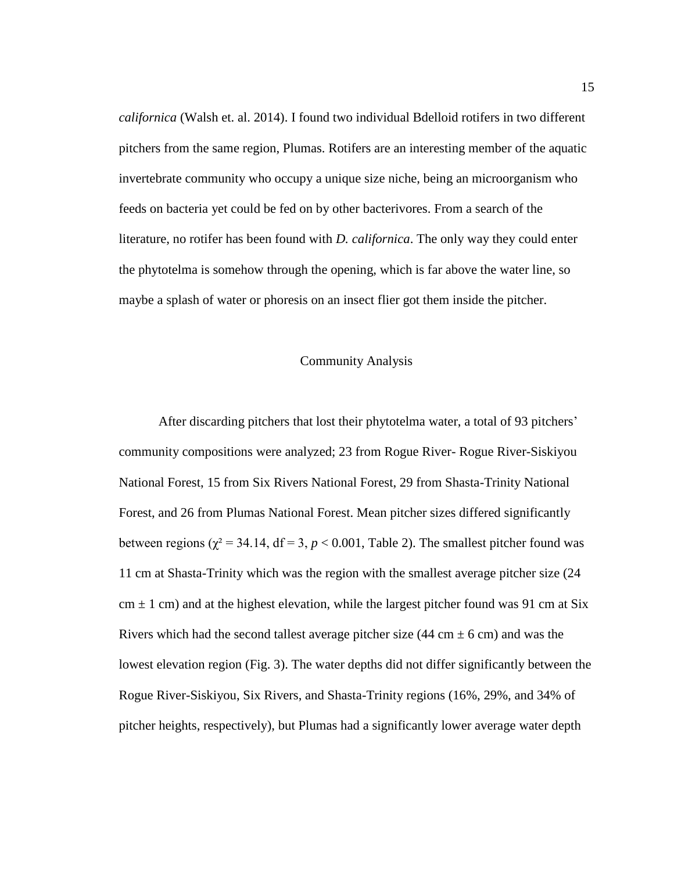*californica* (Walsh et. al. 2014). I found two individual Bdelloid rotifers in two different pitchers from the same region, Plumas. Rotifers are an interesting member of the aquatic invertebrate community who occupy a unique size niche, being an microorganism who feeds on bacteria yet could be fed on by other bacterivores. From a search of the literature, no rotifer has been found with *D. californica*. The only way they could enter the phytotelma is somehow through the opening, which is far above the water line, so maybe a splash of water or phoresis on an insect flier got them inside the pitcher.

### Community Analysis

<span id="page-21-0"></span>After discarding pitchers that lost their phytotelma water, a total of 93 pitchers' community compositions were analyzed; 23 from Rogue River- Rogue River-Siskiyou National Forest, 15 from Six Rivers National Forest, 29 from Shasta-Trinity National Forest, and 26 from Plumas National Forest. Mean pitcher sizes differed significantly between regions ( $\chi^2$  = 34.14, df = 3, *p* < 0.001, Table 2). The smallest pitcher found was 11 cm at Shasta-Trinity which was the region with the smallest average pitcher size (24  $cm \pm 1$  cm) and at the highest elevation, while the largest pitcher found was 91 cm at Six Rivers which had the second tallest average pitcher size  $(44 \text{ cm} \pm 6 \text{ cm})$  and was the lowest elevation region (Fig. 3). The water depths did not differ significantly between the Rogue River-Siskiyou, Six Rivers, and Shasta-Trinity regions (16%, 29%, and 34% of pitcher heights, respectively), but Plumas had a significantly lower average water depth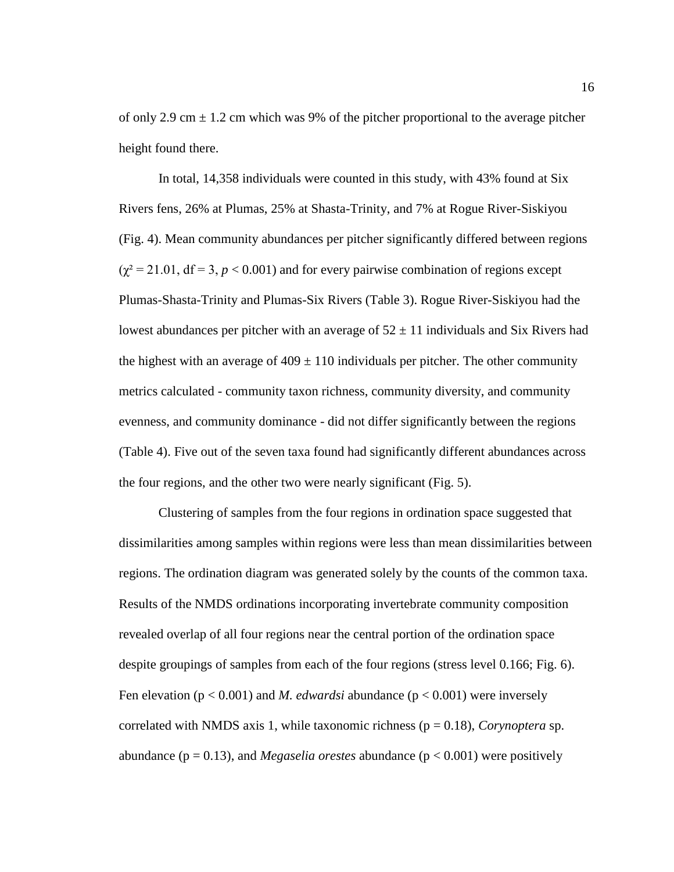of only 2.9 cm  $\pm$  1.2 cm which was 9% of the pitcher proportional to the average pitcher height found there.

In total, 14,358 individuals were counted in this study, with 43% found at Six Rivers fens, 26% at Plumas, 25% at Shasta-Trinity, and 7% at Rogue River-Siskiyou (Fig. 4). Mean community abundances per pitcher significantly differed between regions  $(\chi^2 = 21.01, df = 3, p < 0.001)$  and for every pairwise combination of regions except Plumas-Shasta-Trinity and Plumas-Six Rivers (Table 3). Rogue River-Siskiyou had the lowest abundances per pitcher with an average of  $52 \pm 11$  individuals and Six Rivers had the highest with an average of  $409 \pm 110$  individuals per pitcher. The other community metrics calculated - community taxon richness, community diversity, and community evenness, and community dominance - did not differ significantly between the regions (Table 4). Five out of the seven taxa found had significantly different abundances across the four regions, and the other two were nearly significant (Fig. 5).

Clustering of samples from the four regions in ordination space suggested that dissimilarities among samples within regions were less than mean dissimilarities between regions. The ordination diagram was generated solely by the counts of the common taxa. Results of the NMDS ordinations incorporating invertebrate community composition revealed overlap of all four regions near the central portion of the ordination space despite groupings of samples from each of the four regions (stress level 0.166; Fig. 6). Fen elevation ( $p < 0.001$ ) and *M. edwardsi* abundance ( $p < 0.001$ ) were inversely correlated with NMDS axis 1, while taxonomic richness ( $p = 0.18$ ), *Corynoptera* sp. abundance ( $p = 0.13$ ), and *Megaselia orestes* abundance ( $p < 0.001$ ) were positively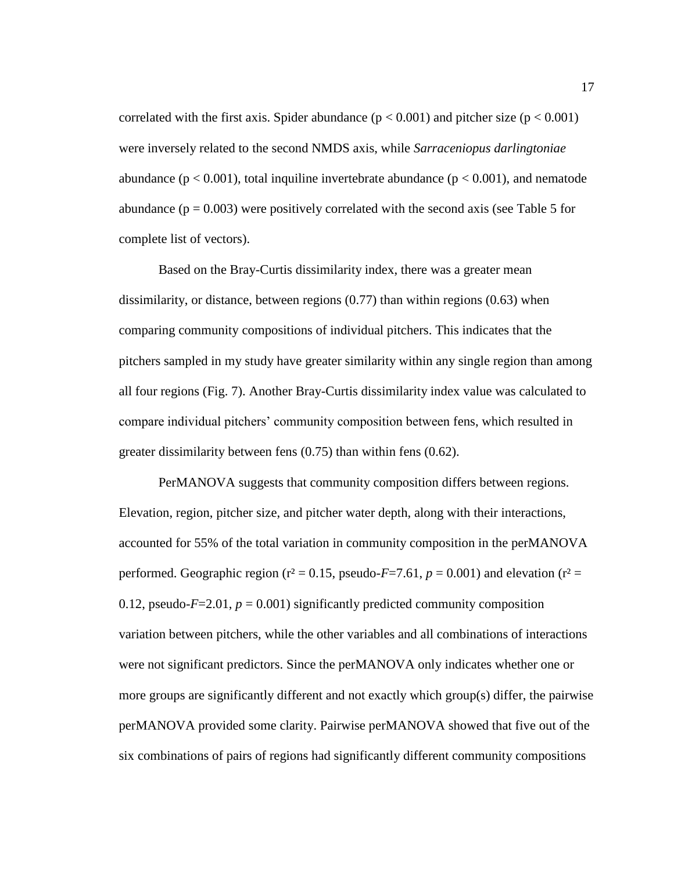correlated with the first axis. Spider abundance  $(p < 0.001)$  and pitcher size  $(p < 0.001)$ were inversely related to the second NMDS axis, while *Sarraceniopus darlingtoniae* abundance ( $p < 0.001$ ), total inquiline invertebrate abundance ( $p < 0.001$ ), and nematode abundance ( $p = 0.003$ ) were positively correlated with the second axis (see Table 5 for complete list of vectors).

Based on the Bray-Curtis dissimilarity index, there was a greater mean dissimilarity, or distance, between regions (0.77) than within regions (0.63) when comparing community compositions of individual pitchers. This indicates that the pitchers sampled in my study have greater similarity within any single region than among all four regions (Fig. 7). Another Bray-Curtis dissimilarity index value was calculated to compare individual pitchers' community composition between fens, which resulted in greater dissimilarity between fens (0.75) than within fens (0.62).

PerMANOVA suggests that community composition differs between regions. Elevation, region, pitcher size, and pitcher water depth, along with their interactions, accounted for 55% of the total variation in community composition in the perMANOVA performed. Geographic region ( $r^2 = 0.15$ , pseudo-*F*=7.61,  $p = 0.001$ ) and elevation ( $r^2 =$ 0.12, pseudo- $F=2.01$ ,  $p=0.001$ ) significantly predicted community composition variation between pitchers, while the other variables and all combinations of interactions were not significant predictors. Since the perMANOVA only indicates whether one or more groups are significantly different and not exactly which group(s) differ, the pairwise perMANOVA provided some clarity. Pairwise perMANOVA showed that five out of the six combinations of pairs of regions had significantly different community compositions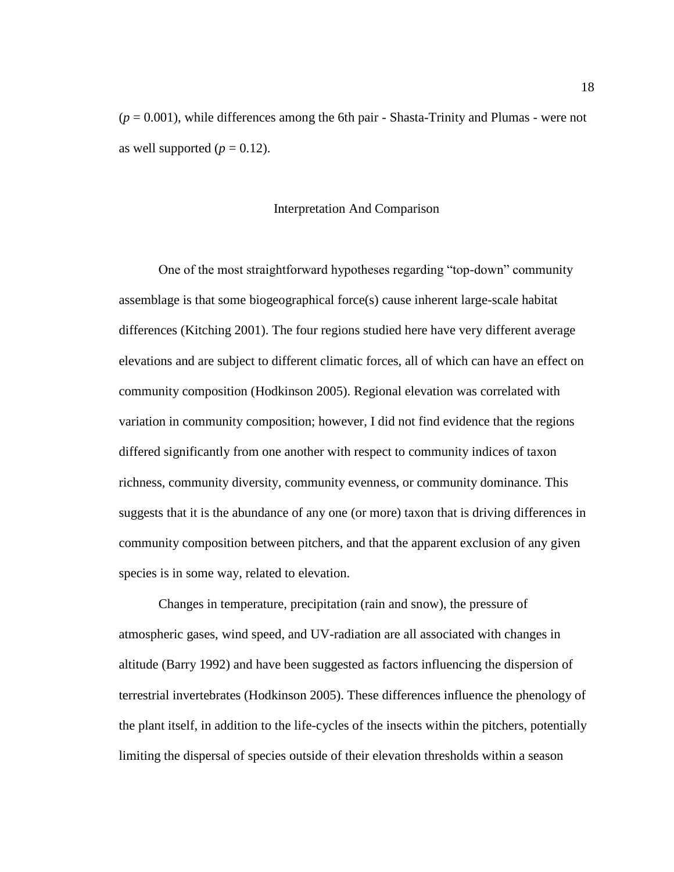$(p = 0.001)$ , while differences among the 6th pair - Shasta-Trinity and Plumas - were not as well supported  $(p = 0.12)$ .

#### Interpretation And Comparison

<span id="page-24-0"></span>One of the most straightforward hypotheses regarding "top-down" community assemblage is that some biogeographical force(s) cause inherent large-scale habitat differences (Kitching 2001). The four regions studied here have very different average elevations and are subject to different climatic forces, all of which can have an effect on community composition (Hodkinson 2005). Regional elevation was correlated with variation in community composition; however, I did not find evidence that the regions differed significantly from one another with respect to community indices of taxon richness, community diversity, community evenness, or community dominance. This suggests that it is the abundance of any one (or more) taxon that is driving differences in community composition between pitchers, and that the apparent exclusion of any given species is in some way, related to elevation.

Changes in temperature, precipitation (rain and snow), the pressure of atmospheric gases, wind speed, and UV-radiation are all associated with changes in altitude (Barry 1992) and have been suggested as factors influencing the dispersion of terrestrial invertebrates (Hodkinson 2005). These differences influence the phenology of the plant itself, in addition to the life-cycles of the insects within the pitchers, potentially limiting the dispersal of species outside of their elevation thresholds within a season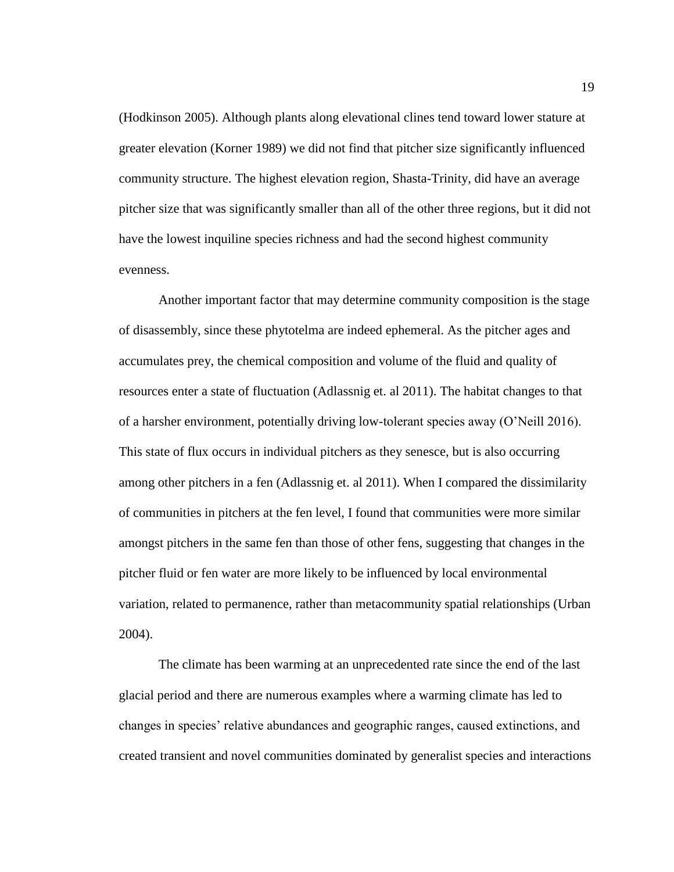(Hodkinson 2005). Although plants along elevational clines tend toward lower stature at greater elevation (Korner 1989) we did not find that pitcher size significantly influenced community structure. The highest elevation region, Shasta-Trinity, did have an average pitcher size that was significantly smaller than all of the other three regions, but it did not have the lowest inquiline species richness and had the second highest community evenness.

Another important factor that may determine community composition is the stage of disassembly, since these phytotelma are indeed ephemeral. As the pitcher ages and accumulates prey, the chemical composition and volume of the fluid and quality of resources enter a state of fluctuation (Adlassnig et. al 2011). The habitat changes to that of a harsher environment, potentially driving low-tolerant species away (O'Neill 2016). This state of flux occurs in individual pitchers as they senesce, but is also occurring among other pitchers in a fen (Adlassnig et. al 2011). When I compared the dissimilarity of communities in pitchers at the fen level, I found that communities were more similar amongst pitchers in the same fen than those of other fens, suggesting that changes in the pitcher fluid or fen water are more likely to be influenced by local environmental variation, related to permanence, rather than metacommunity spatial relationships (Urban 2004).

The climate has been warming at an unprecedented rate since the end of the last glacial period and there are numerous examples where a warming climate has led to changes in species' relative abundances and geographic ranges, caused extinctions, and created transient and novel communities dominated by generalist species and interactions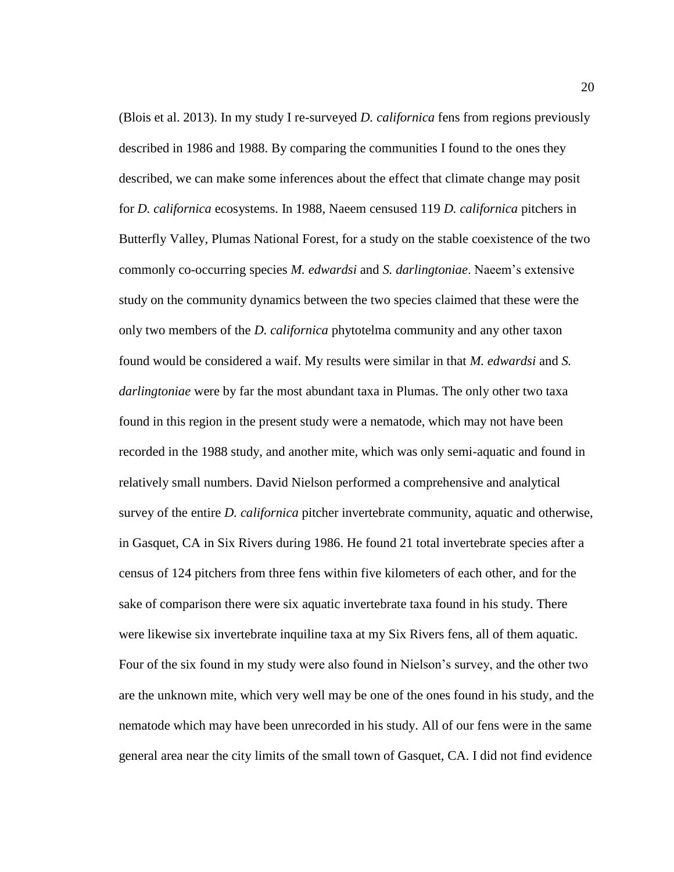(Blois et al. 2013). In my study I re-surveyed *D. californica* fens from regions previously described in 1986 and 1988. By comparing the communities I found to the ones they described, we can make some inferences about the effect that climate change may posit for *D. californica* ecosystems. In 1988, Naeem censused 119 *D. californica* pitchers in Butterfly Valley, Plumas National Forest, for a study on the stable coexistence of the two commonly co-occurring species *M. edwardsi* and *S. darlingtoniae*. Naeem's extensive study on the community dynamics between the two species claimed that these were the only two members of the *D. californica* phytotelma community and any other taxon found would be considered a waif. My results were similar in that *M. edwardsi* and *S. darlingtoniae* were by far the most abundant taxa in Plumas. The only other two taxa found in this region in the present study were a nematode, which may not have been recorded in the 1988 study, and another mite, which was only semi-aquatic and found in relatively small numbers. David Nielson performed a comprehensive and analytical survey of the entire *D. californica* pitcher invertebrate community, aquatic and otherwise, in Gasquet, CA in Six Rivers during 1986. He found 21 total invertebrate species after a census of 124 pitchers from three fens within five kilometers of each other, and for the sake of comparison there were six aquatic invertebrate taxa found in his study. There were likewise six invertebrate inquiline taxa at my Six Rivers fens, all of them aquatic. Four of the six found in my study were also found in Nielson's survey, and the other two are the unknown mite, which very well may be one of the ones found in his study, and the nematode which may have been unrecorded in his study. All of our fens were in the same general area near the city limits of the small town of Gasquet, CA. I did not find evidence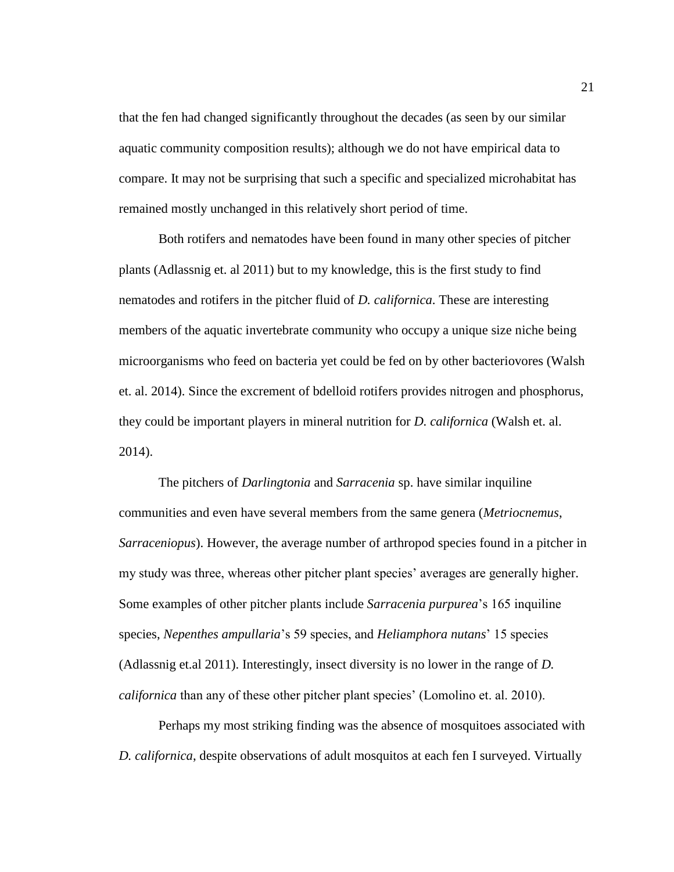that the fen had changed significantly throughout the decades (as seen by our similar aquatic community composition results); although we do not have empirical data to compare. It may not be surprising that such a specific and specialized microhabitat has remained mostly unchanged in this relatively short period of time.

Both rotifers and nematodes have been found in many other species of pitcher plants (Adlassnig et. al 2011) but to my knowledge, this is the first study to find nematodes and rotifers in the pitcher fluid of *D. californica*. These are interesting members of the aquatic invertebrate community who occupy a unique size niche being microorganisms who feed on bacteria yet could be fed on by other bacteriovores (Walsh et. al. 2014). Since the excrement of bdelloid rotifers provides nitrogen and phosphorus, they could be important players in mineral nutrition for *D. californica* (Walsh et. al. 2014).

The pitchers of *Darlingtonia* and *Sarracenia* sp. have similar inquiline communities and even have several members from the same genera (*Metriocnemus*, *Sarraceniopus*). However, the average number of arthropod species found in a pitcher in my study was three, whereas other pitcher plant species' averages are generally higher. Some examples of other pitcher plants include *Sarracenia purpurea*'s 165 inquiline species, *Nepenthes ampullaria*'s 59 species, and *Heliamphora nutans*' 15 species (Adlassnig et.al 2011). Interestingly, insect diversity is no lower in the range of *D. californica* than any of these other pitcher plant species' (Lomolino et. al. 2010).

Perhaps my most striking finding was the absence of mosquitoes associated with *D. californica*, despite observations of adult mosquitos at each fen I surveyed. Virtually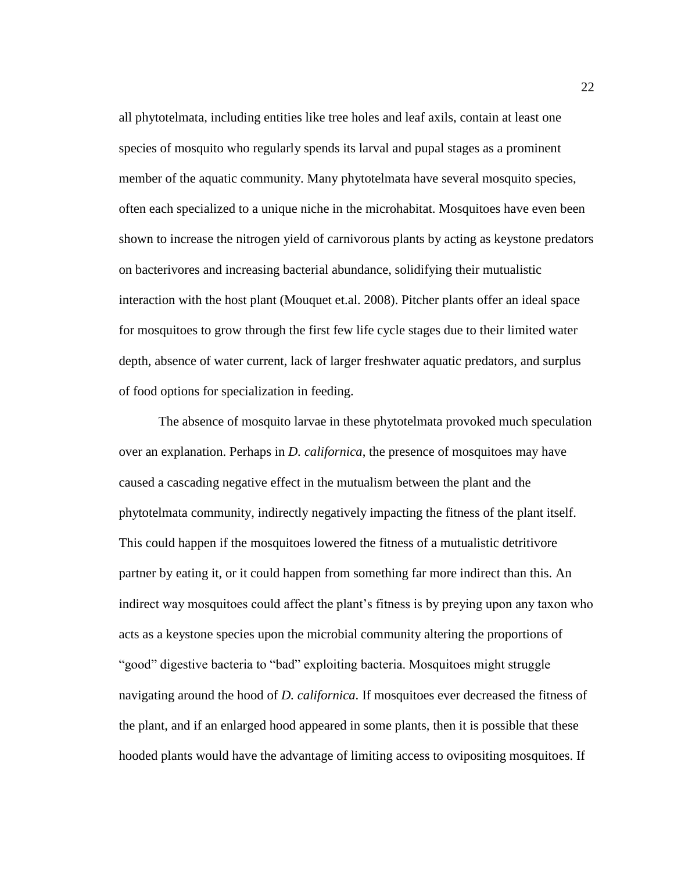all phytotelmata, including entities like tree holes and leaf axils, contain at least one species of mosquito who regularly spends its larval and pupal stages as a prominent member of the aquatic community. Many phytotelmata have several mosquito species, often each specialized to a unique niche in the microhabitat. Mosquitoes have even been shown to increase the nitrogen yield of carnivorous plants by acting as keystone predators on bacterivores and increasing bacterial abundance, solidifying their mutualistic interaction with the host plant (Mouquet et.al. 2008). Pitcher plants offer an ideal space for mosquitoes to grow through the first few life cycle stages due to their limited water depth, absence of water current, lack of larger freshwater aquatic predators, and surplus of food options for specialization in feeding.

The absence of mosquito larvae in these phytotelmata provoked much speculation over an explanation. Perhaps in *D. californica*, the presence of mosquitoes may have caused a cascading negative effect in the mutualism between the plant and the phytotelmata community, indirectly negatively impacting the fitness of the plant itself. This could happen if the mosquitoes lowered the fitness of a mutualistic detritivore partner by eating it, or it could happen from something far more indirect than this. An indirect way mosquitoes could affect the plant's fitness is by preying upon any taxon who acts as a keystone species upon the microbial community altering the proportions of "good" digestive bacteria to "bad" exploiting bacteria. Mosquitoes might struggle navigating around the hood of *D. californica*. If mosquitoes ever decreased the fitness of the plant, and if an enlarged hood appeared in some plants, then it is possible that these hooded plants would have the advantage of limiting access to ovipositing mosquitoes. If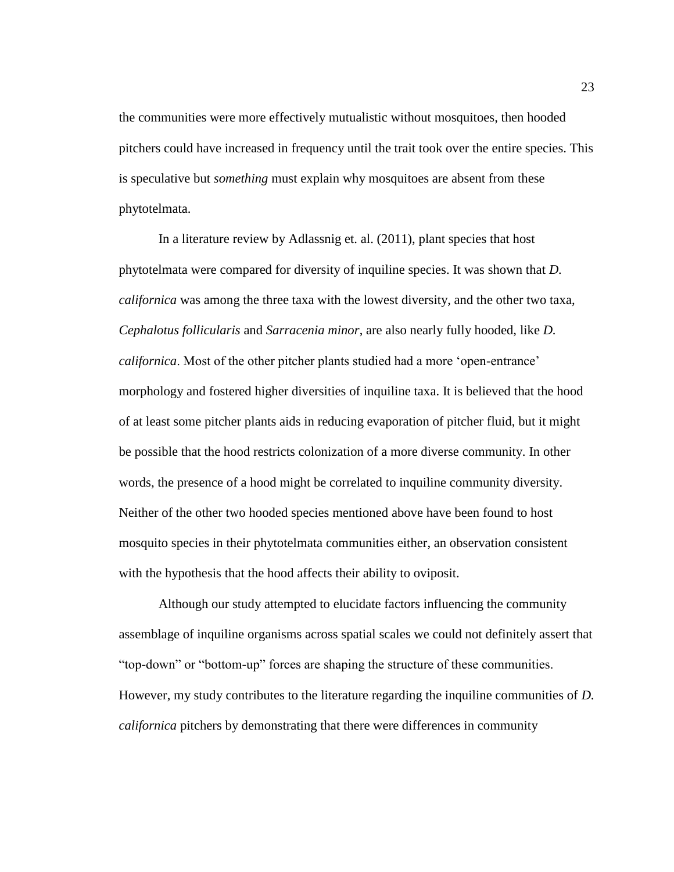the communities were more effectively mutualistic without mosquitoes, then hooded pitchers could have increased in frequency until the trait took over the entire species. This is speculative but *something* must explain why mosquitoes are absent from these phytotelmata.

In a literature review by Adlassnig et. al. (2011), plant species that host phytotelmata were compared for diversity of inquiline species. It was shown that *D. californica* was among the three taxa with the lowest diversity, and the other two taxa, *Cephalotus follicularis* and *Sarracenia minor*, are also nearly fully hooded, like *D. californica*. Most of the other pitcher plants studied had a more 'open-entrance' morphology and fostered higher diversities of inquiline taxa. It is believed that the hood of at least some pitcher plants aids in reducing evaporation of pitcher fluid, but it might be possible that the hood restricts colonization of a more diverse community. In other words, the presence of a hood might be correlated to inquiline community diversity. Neither of the other two hooded species mentioned above have been found to host mosquito species in their phytotelmata communities either, an observation consistent with the hypothesis that the hood affects their ability to oviposit.

Although our study attempted to elucidate factors influencing the community assemblage of inquiline organisms across spatial scales we could not definitely assert that "top-down" or "bottom-up" forces are shaping the structure of these communities. However, my study contributes to the literature regarding the inquiline communities of *D. californica* pitchers by demonstrating that there were differences in community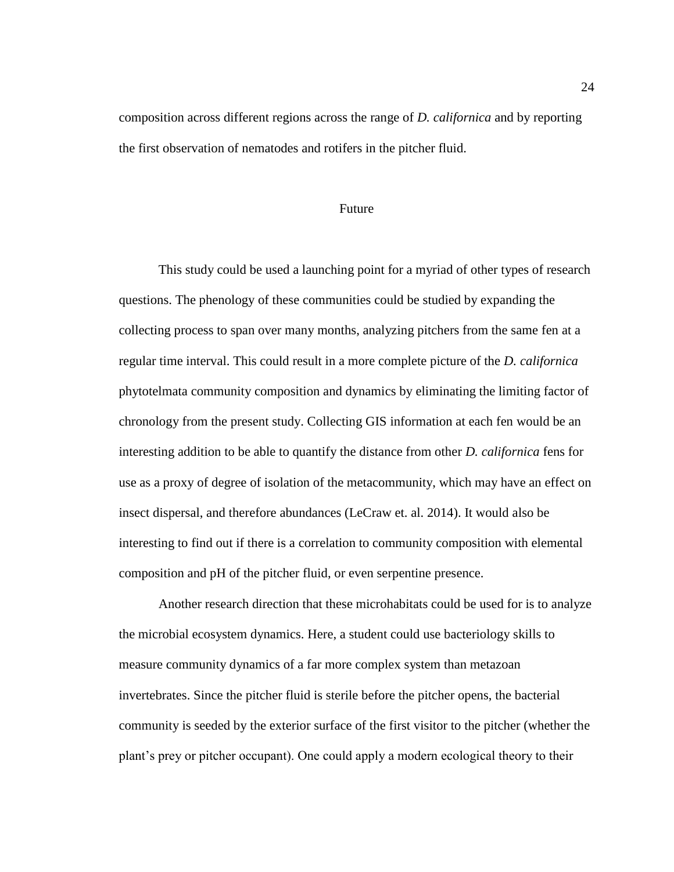composition across different regions across the range of *D. californica* and by reporting the first observation of nematodes and rotifers in the pitcher fluid.

#### Future

<span id="page-30-0"></span>This study could be used a launching point for a myriad of other types of research questions. The phenology of these communities could be studied by expanding the collecting process to span over many months, analyzing pitchers from the same fen at a regular time interval. This could result in a more complete picture of the *D. californica* phytotelmata community composition and dynamics by eliminating the limiting factor of chronology from the present study. Collecting GIS information at each fen would be an interesting addition to be able to quantify the distance from other *D. californica* fens for use as a proxy of degree of isolation of the metacommunity, which may have an effect on insect dispersal, and therefore abundances (LeCraw et. al. 2014). It would also be interesting to find out if there is a correlation to community composition with elemental composition and pH of the pitcher fluid, or even serpentine presence.

Another research direction that these microhabitats could be used for is to analyze the microbial ecosystem dynamics. Here, a student could use bacteriology skills to measure community dynamics of a far more complex system than metazoan invertebrates. Since the pitcher fluid is sterile before the pitcher opens, the bacterial community is seeded by the exterior surface of the first visitor to the pitcher (whether the plant's prey or pitcher occupant). One could apply a modern ecological theory to their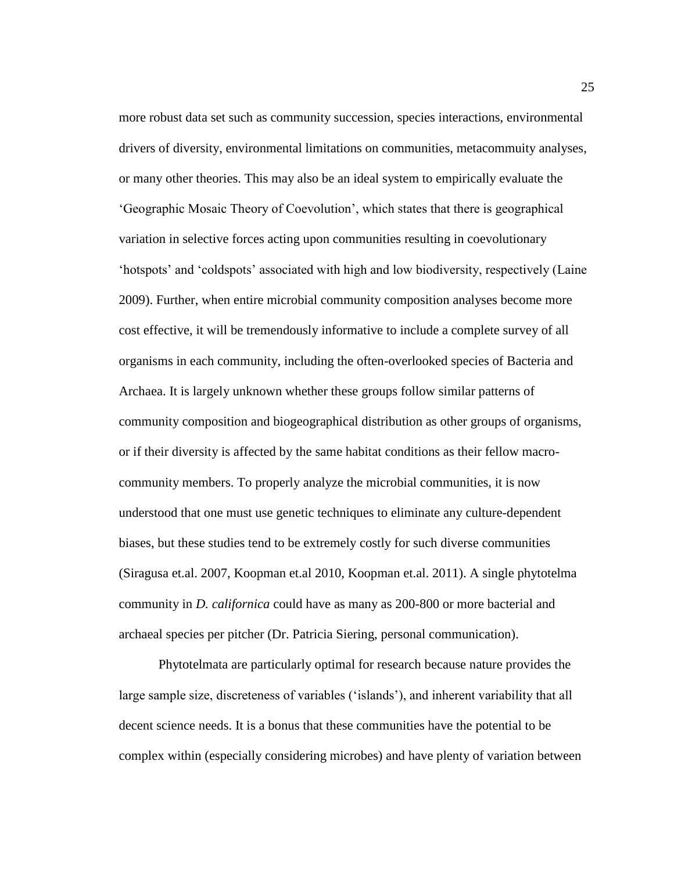more robust data set such as community succession, species interactions, environmental drivers of diversity, environmental limitations on communities, metacommuity analyses, or many other theories. This may also be an ideal system to empirically evaluate the 'Geographic Mosaic Theory of Coevolution', which states that there is geographical variation in selective forces acting upon communities resulting in coevolutionary 'hotspots' and 'coldspots' associated with high and low biodiversity, respectively (Laine 2009). Further, when entire microbial community composition analyses become more cost effective, it will be tremendously informative to include a complete survey of all organisms in each community, including the often-overlooked species of Bacteria and Archaea. It is largely unknown whether these groups follow similar patterns of community composition and biogeographical distribution as other groups of organisms, or if their diversity is affected by the same habitat conditions as their fellow macrocommunity members. To properly analyze the microbial communities, it is now understood that one must use genetic techniques to eliminate any culture-dependent biases, but these studies tend to be extremely costly for such diverse communities (Siragusa et.al. 2007, Koopman et.al 2010, Koopman et.al. 2011). A single phytotelma community in *D. californica* could have as many as 200-800 or more bacterial and archaeal species per pitcher (Dr. Patricia Siering, personal communication).

Phytotelmata are particularly optimal for research because nature provides the large sample size, discreteness of variables ('islands'), and inherent variability that all decent science needs. It is a bonus that these communities have the potential to be complex within (especially considering microbes) and have plenty of variation between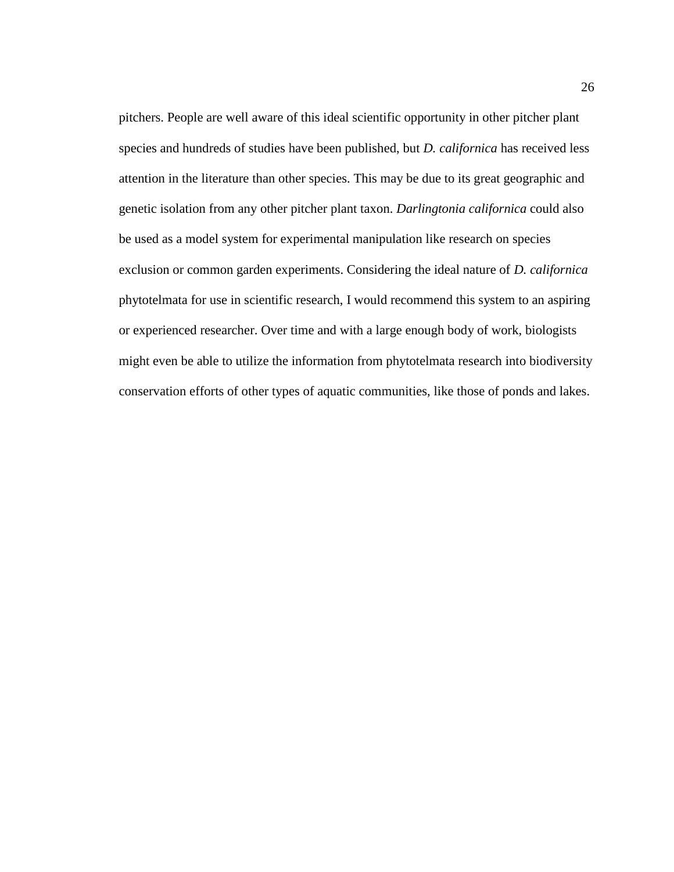pitchers. People are well aware of this ideal scientific opportunity in other pitcher plant species and hundreds of studies have been published, but *D. californica* has received less attention in the literature than other species. This may be due to its great geographic and genetic isolation from any other pitcher plant taxon. *Darlingtonia californica* could also be used as a model system for experimental manipulation like research on species exclusion or common garden experiments. Considering the ideal nature of *D. californica* phytotelmata for use in scientific research, I would recommend this system to an aspiring or experienced researcher. Over time and with a large enough body of work, biologists might even be able to utilize the information from phytotelmata research into biodiversity conservation efforts of other types of aquatic communities, like those of ponds and lakes.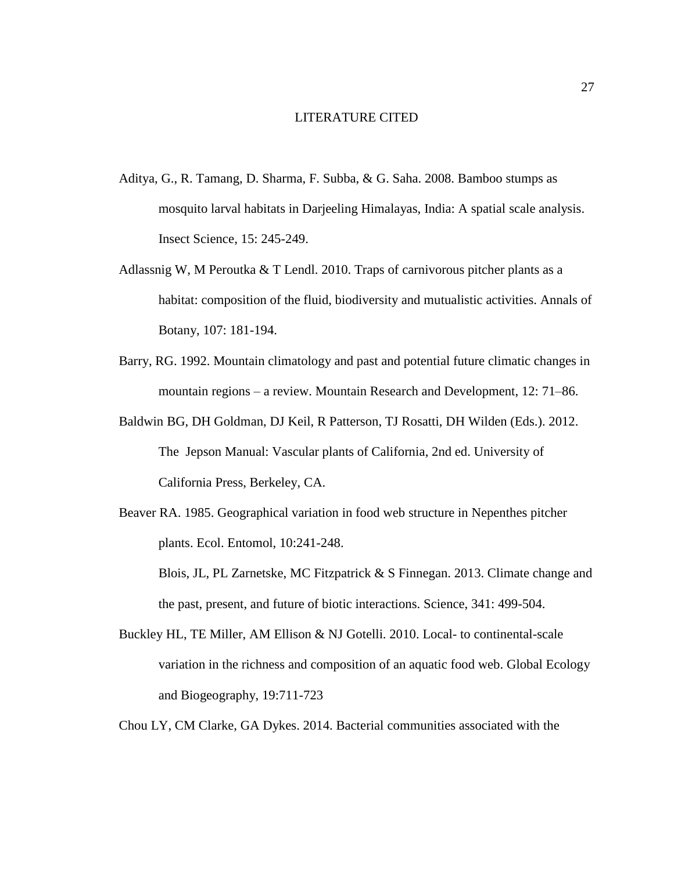#### LITERATURE CITED

- <span id="page-33-0"></span>Aditya, G., R. Tamang, D. Sharma, F. Subba, & G. Saha. 2008. Bamboo stumps as mosquito larval habitats in Darjeeling Himalayas, India: A spatial scale analysis. Insect Science, 15: 245-249.
- Adlassnig W, M Peroutka & T Lendl. 2010. Traps of carnivorous pitcher plants as a habitat: composition of the fluid, biodiversity and mutualistic activities. Annals of Botany, 107: 181-194.
- Barry, RG. 1992. Mountain climatology and past and potential future climatic changes in mountain regions – a review. Mountain Research and Development, 12: 71–86.
- Baldwin BG, DH Goldman, DJ Keil, R Patterson, TJ Rosatti, DH Wilden (Eds.). 2012. The Jepson Manual: Vascular plants of California, 2nd ed. University of California Press, Berkeley, CA.
- Beaver RA. 1985. Geographical variation in food web structure in Nepenthes pitcher plants. Ecol. Entomol, 10:241-248.
	- Blois, JL, PL Zarnetske, MC Fitzpatrick & S Finnegan. 2013. Climate change and the past, present, and future of biotic interactions. Science, 341: 499-504.
- Buckley HL, TE Miller, AM Ellison & NJ Gotelli. 2010. Local- to continental-scale variation in the richness and composition of an aquatic food web. Global Ecology and Biogeography, 19:711-723
- Chou LY, CM Clarke, GA Dykes. 2014. Bacterial communities associated with the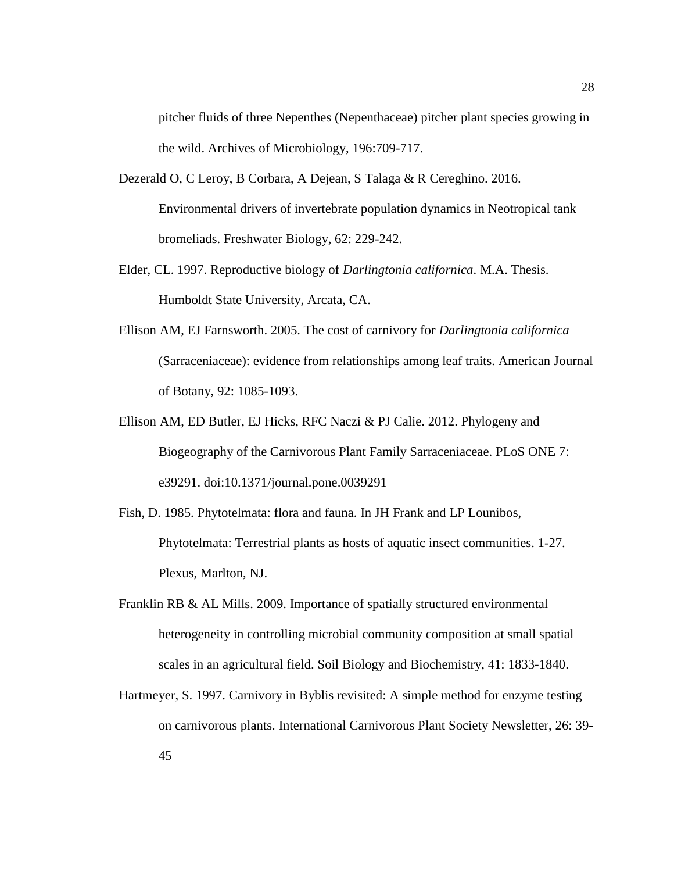pitcher fluids of three Nepenthes (Nepenthaceae) pitcher plant species growing in the wild. Archives of Microbiology, 196:709-717.

- Dezerald O, C Leroy, B Corbara, A Dejean, S Talaga & R Cereghino. 2016. Environmental drivers of invertebrate population dynamics in Neotropical tank bromeliads. Freshwater Biology, 62: 229-242.
- Elder, CL. 1997. Reproductive biology of *Darlingtonia californica*. M.A. Thesis. Humboldt State University, Arcata, CA.
- Ellison AM, EJ Farnsworth. 2005. The cost of carnivory for *Darlingtonia californica* (Sarraceniaceae): evidence from relationships among leaf traits. American Journal of Botany, 92: 1085-1093.
- Ellison AM, ED Butler, EJ Hicks, RFC Naczi & PJ Calie. 2012. Phylogeny and Biogeography of the Carnivorous Plant Family Sarraceniaceae. PLoS ONE 7: e39291. doi:10.1371/journal.pone.0039291
- Fish, D. 1985. Phytotelmata: flora and fauna. In JH Frank and LP Lounibos, Phytotelmata: Terrestrial plants as hosts of aquatic insect communities. 1-27. Plexus, Marlton, NJ.
- Franklin RB & AL Mills. 2009. Importance of spatially structured environmental heterogeneity in controlling microbial community composition at small spatial scales in an agricultural field. Soil Biology and Biochemistry, 41: 1833-1840.
- Hartmeyer, S. 1997. Carnivory in Byblis revisited: A simple method for enzyme testing on carnivorous plants. International Carnivorous Plant Society Newsletter, 26: 39- 45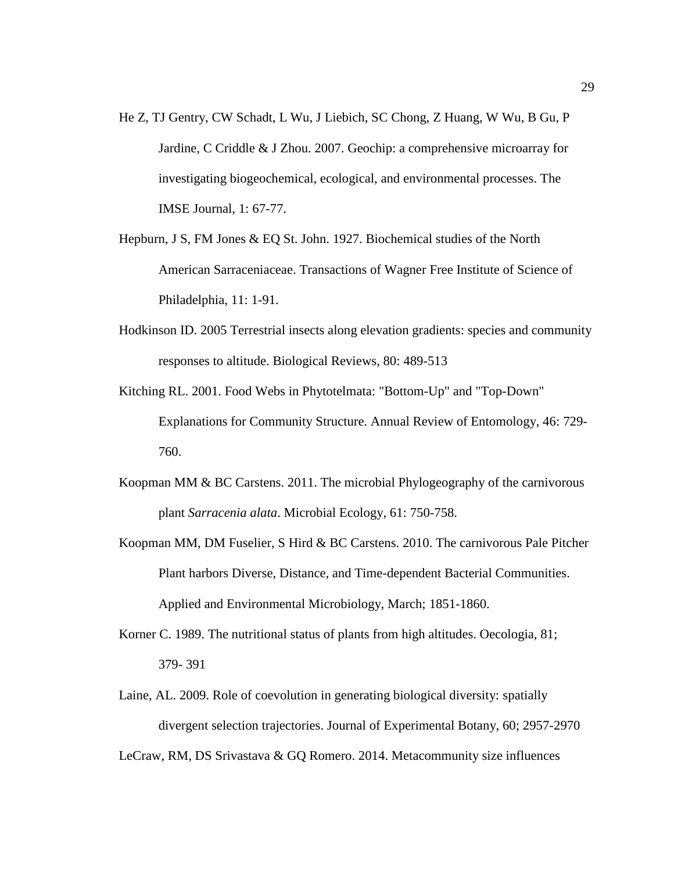- He Z, TJ Gentry, CW Schadt, L Wu, J Liebich, SC Chong, Z Huang, W Wu, B Gu, P Jardine, C Criddle & J Zhou. 2007. Geochip: a comprehensive microarray for investigating biogeochemical, ecological, and environmental processes. The IMSE Journal, 1: 67-77.
- Hepburn, J S, FM Jones & EQ St. John. 1927. Biochemical studies of the North American Sarraceniaceae. Transactions of Wagner Free Institute of Science of Philadelphia, 11: 1-91.
- Hodkinson ID. 2005 Terrestrial insects along elevation gradients: species and community responses to altitude. Biological Reviews, 80: 489-513
- Kitching RL. 2001. Food Webs in Phytotelmata: "Bottom-Up" and "Top-Down" Explanations for Community Structure. Annual Review of Entomology, 46: 729- 760.
- Koopman MM  $& BC$  Carstens. 2011. The microbial Phylogeography of the carnivorous plant *Sarracenia alata*. Microbial Ecology, 61: 750-758.
- Koopman MM, DM Fuselier, S Hird & BC Carstens. 2010. The carnivorous Pale Pitcher Plant harbors Diverse, Distance, and Time-dependent Bacterial Communities. Applied and Environmental Microbiology, March; 1851-1860.
- Korner C. 1989. The nutritional status of plants from high altitudes. Oecologia, 81; 379- 391
- Laine, AL. 2009. Role of coevolution in generating biological diversity: spatially divergent selection trajectories. Journal of Experimental Botany, 60; 2957-2970

LeCraw, RM, DS Srivastava & GQ Romero. 2014. Metacommunity size influences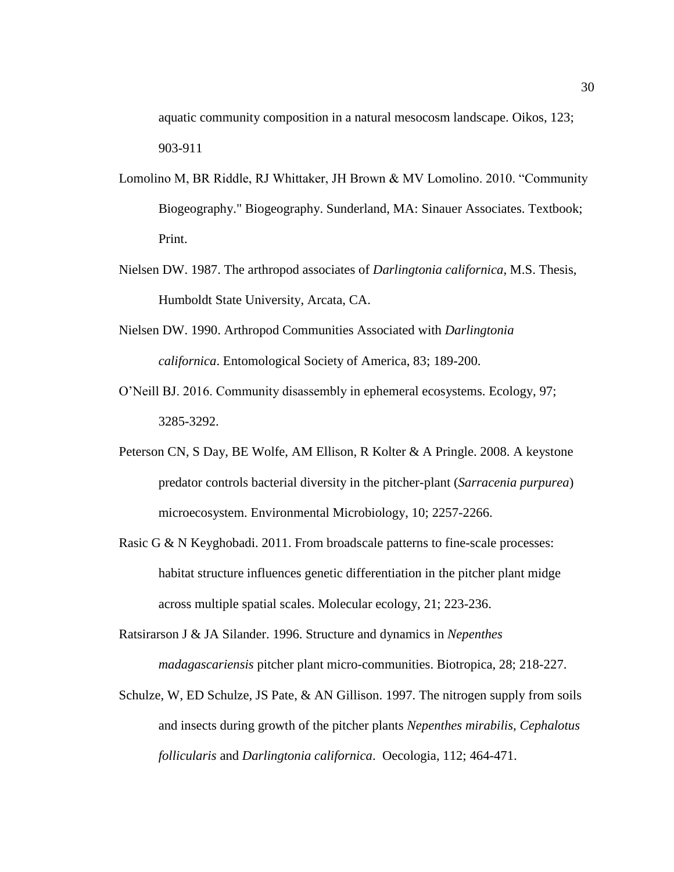aquatic community composition in a natural mesocosm landscape. Oikos, 123; 903-911

- Lomolino M, BR Riddle, RJ Whittaker, JH Brown & MV Lomolino. 2010. "Community Biogeography." Biogeography. Sunderland, MA: Sinauer Associates. Textbook; Print.
- Nielsen DW. 1987. The arthropod associates of *Darlingtonia californica*, M.S. Thesis, Humboldt State University, Arcata, CA.
- Nielsen DW. 1990. Arthropod Communities Associated with *Darlingtonia californica*. Entomological Society of America, 83; 189-200.
- O'Neill BJ. 2016. Community disassembly in ephemeral ecosystems. Ecology, 97; 3285-3292.
- Peterson CN, S Day, BE Wolfe, AM Ellison, R Kolter & A Pringle. 2008. A keystone predator controls bacterial diversity in the pitcher-plant (*Sarracenia purpurea*) microecosystem. Environmental Microbiology, 10; 2257-2266.
- Rasic G & N Keyghobadi. 2011. From broadscale patterns to fine-scale processes: habitat structure influences genetic differentiation in the pitcher plant midge across multiple spatial scales. Molecular ecology, 21; 223-236.
- Ratsirarson J & JA Silander. 1996. Structure and dynamics in *Nepenthes madagascariensis* pitcher plant micro-communities. Biotropica, 28; 218-227.
- Schulze, W, ED Schulze, JS Pate, & AN Gillison. 1997. The nitrogen supply from soils and insects during growth of the pitcher plants *Nepenthes mirabilis, Cephalotus follicularis* and *Darlingtonia californica*. Oecologia, 112; 464-471.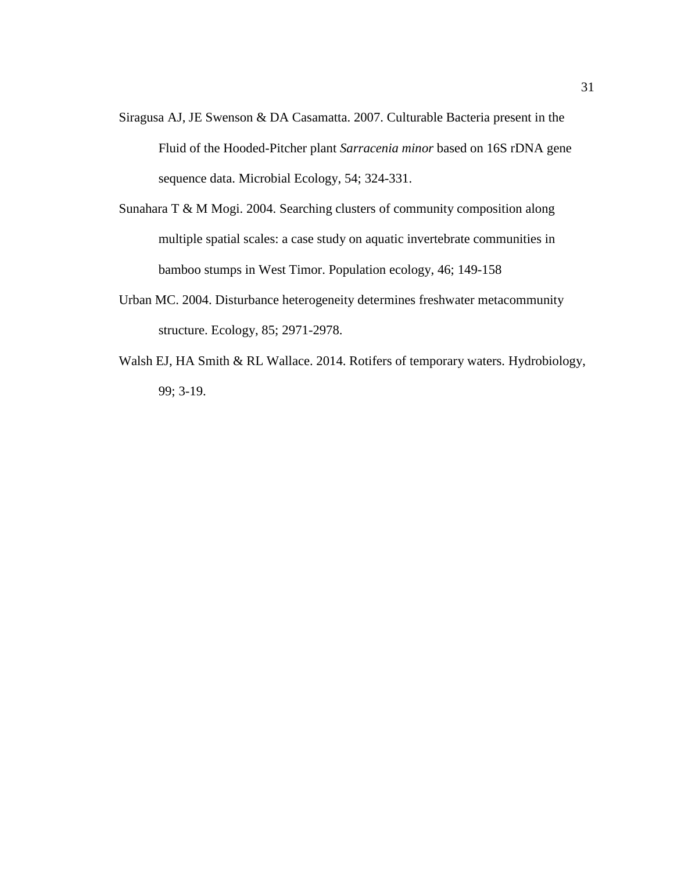- Siragusa AJ, JE Swenson & DA Casamatta. 2007. Culturable Bacteria present in the Fluid of the Hooded-Pitcher plant *Sarracenia minor* based on 16S rDNA gene sequence data. Microbial Ecology, 54; 324-331.
- Sunahara T & M Mogi. 2004. Searching clusters of community composition along multiple spatial scales: a case study on aquatic invertebrate communities in bamboo stumps in West Timor. Population ecology, 46; 149-158
- Urban MC. 2004. Disturbance heterogeneity determines freshwater metacommunity structure. Ecology, 85; 2971-2978.
- Walsh EJ, HA Smith & RL Wallace. 2014. Rotifers of temporary waters. Hydrobiology, 99; 3-19.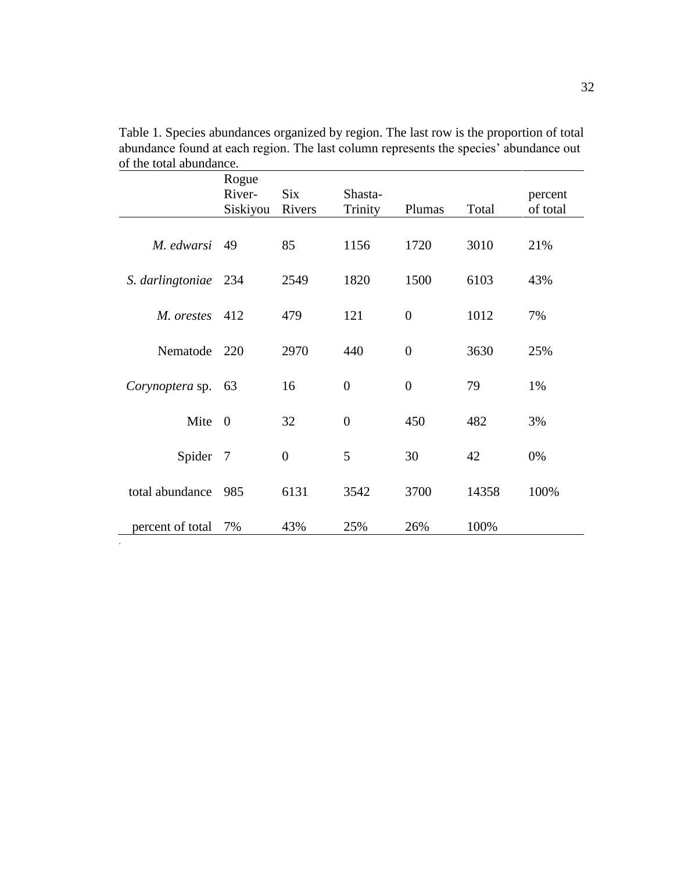|                      | Rogue<br>River-<br>Siskiyou | <b>Six</b><br>Rivers | Shasta-<br>Trinity | Plumas           | Total | percent<br>of total |
|----------------------|-----------------------------|----------------------|--------------------|------------------|-------|---------------------|
| M. edwarsi           | 49                          | 85                   | 1156               | 1720             | 3010  | 21%                 |
| S. darlingtoniae 234 |                             | 2549                 | 1820               | 1500             | 6103  | 43%                 |
| M. orestes           | 412                         | 479                  | 121                | $\boldsymbol{0}$ | 1012  | 7%                  |
| Nematode             | 220                         | 2970                 | 440                | $\boldsymbol{0}$ | 3630  | 25%                 |
| Corynoptera sp.      | 63                          | 16                   | $\overline{0}$     | $\overline{0}$   | 79    | 1%                  |
| Mite                 | $\overline{0}$              | 32                   | $\boldsymbol{0}$   | 450              | 482   | 3%                  |
| Spider 7             |                             | $\overline{0}$       | 5                  | 30               | 42    | 0%                  |
| total abundance      | 985                         | 6131                 | 3542               | 3700             | 14358 | 100%                |
| percent of total     | 7%                          | 43%                  | 25%                | 26%              | 100%  |                     |

*.*

<span id="page-38-0"></span>Table 1. Species abundances organized by region. The last row is the proportion of total abundance found at each region. The last column represents the species' abundance out of the total abundance.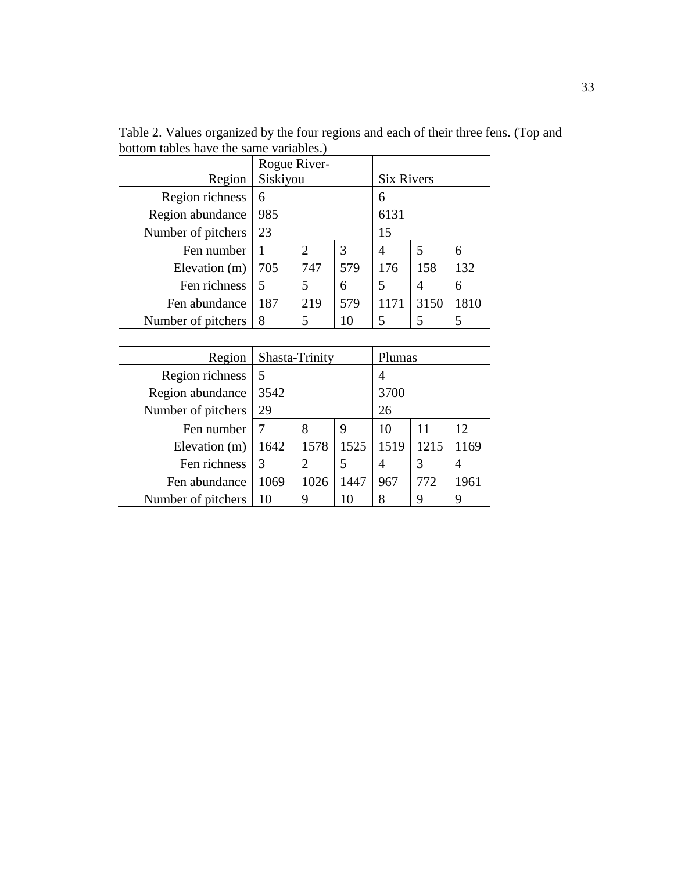|                    | Rogue River- |     |     |                   |      |      |
|--------------------|--------------|-----|-----|-------------------|------|------|
| Region             | Siskiyou     |     |     | <b>Six Rivers</b> |      |      |
| Region richness    | 6            |     |     | 6                 |      |      |
| Region abundance   | 985          |     |     | 6131              |      |      |
| Number of pitchers | 23           |     |     | 15                |      |      |
| Fen number         |              | 2   | 3   | $\overline{A}$    | 5    | 6    |
| Elevation (m)      | 705          | 747 | 579 | 176               | 158  | 132  |
| Fen richness       | 5            | 5   | 6   | 5                 | 4    | 6    |
| Fen abundance      | 187          | 219 | 579 | 1171              | 3150 | 1810 |
| Number of pitchers | 8            | 5   | 10  |                   |      |      |

<span id="page-39-0"></span>Table 2. Values organized by the four regions and each of their three fens. (Top and bottom tables have the same variables.)

| Region             | Shasta-Trinity |      |      | Plumas |      |      |  |
|--------------------|----------------|------|------|--------|------|------|--|
| Region richness    |                |      |      |        |      |      |  |
| Region abundance   | 3542           |      |      | 3700   |      |      |  |
| Number of pitchers | 29             |      |      | 26     |      |      |  |
| Fen number         |                | 8    | 9    | 10     | 11   | 12   |  |
| Elevation (m)      | 1642           | 1578 | 1525 | 1519   | 1215 | 1169 |  |
| Fen richness       | 3              | 2    | 5    | 4      | 3    | 4    |  |
| Fen abundance      | 1069           | 1026 | 1447 | 967    | 772  | 1961 |  |
| Number of pitchers | 10             | 9    | 10   |        | 9    |      |  |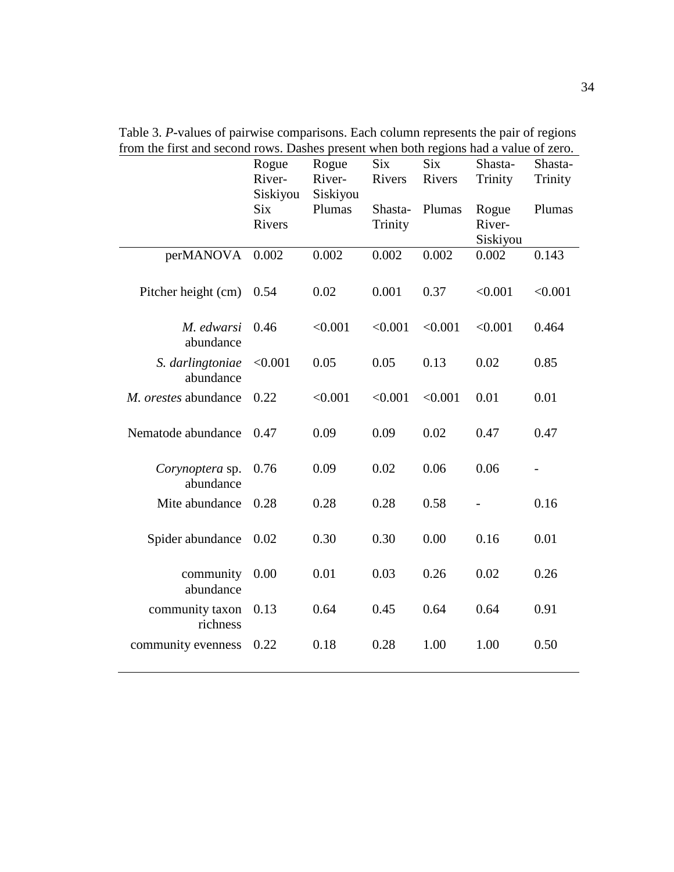|                               | Rogue<br>River-<br>Siskiyou<br><b>Six</b><br>Rivers | Rogue<br>River-<br>Siskiyou<br>Plumas | <b>Six</b><br>Rivers<br>Shasta-<br>Trinity | <b>Six</b><br>Rivers<br>Plumas | Shasta-<br>Trinity<br>Rogue<br>River- | Shasta-<br>Trinity<br>Plumas |
|-------------------------------|-----------------------------------------------------|---------------------------------------|--------------------------------------------|--------------------------------|---------------------------------------|------------------------------|
| perMANOVA                     | 0.002                                               | 0.002                                 | 0.002                                      | 0.002                          | Siskiyou<br>0.002                     | 0.143                        |
| Pitcher height (cm)           | 0.54                                                | 0.02                                  | 0.001                                      | 0.37                           | < 0.001                               | < 0.001                      |
| M. edwarsi<br>abundance       | 0.46                                                | < 0.001                               | < 0.001                                    | < 0.001                        | < 0.001                               | 0.464                        |
| S. darlingtoniae<br>abundance | < 0.001                                             | 0.05                                  | 0.05                                       | 0.13                           | 0.02                                  | 0.85                         |
| M. orestes abundance          | 0.22                                                | < 0.001                               | < 0.001                                    | < 0.001                        | 0.01                                  | 0.01                         |
| Nematode abundance            | 0.47                                                | 0.09                                  | 0.09                                       | 0.02                           | 0.47                                  | 0.47                         |
| Corynoptera sp.<br>abundance  | 0.76                                                | 0.09                                  | 0.02                                       | 0.06                           | 0.06                                  |                              |
| Mite abundance                | 0.28                                                | 0.28                                  | 0.28                                       | 0.58                           |                                       | 0.16                         |
| Spider abundance              | 0.02                                                | 0.30                                  | 0.30                                       | 0.00                           | 0.16                                  | 0.01                         |
| community<br>abundance        | 0.00                                                | 0.01                                  | 0.03                                       | 0.26                           | 0.02                                  | 0.26                         |
| community taxon<br>richness   | 0.13                                                | 0.64                                  | 0.45                                       | 0.64                           | 0.64                                  | 0.91                         |
| community evenness            | 0.22                                                | 0.18                                  | 0.28                                       | 1.00                           | 1.00                                  | 0.50                         |

<span id="page-40-0"></span>Table 3. *P*-values of pairwise comparisons. Each column represents the pair of regions from the first and second rows. Dashes present when both regions had a value of zero.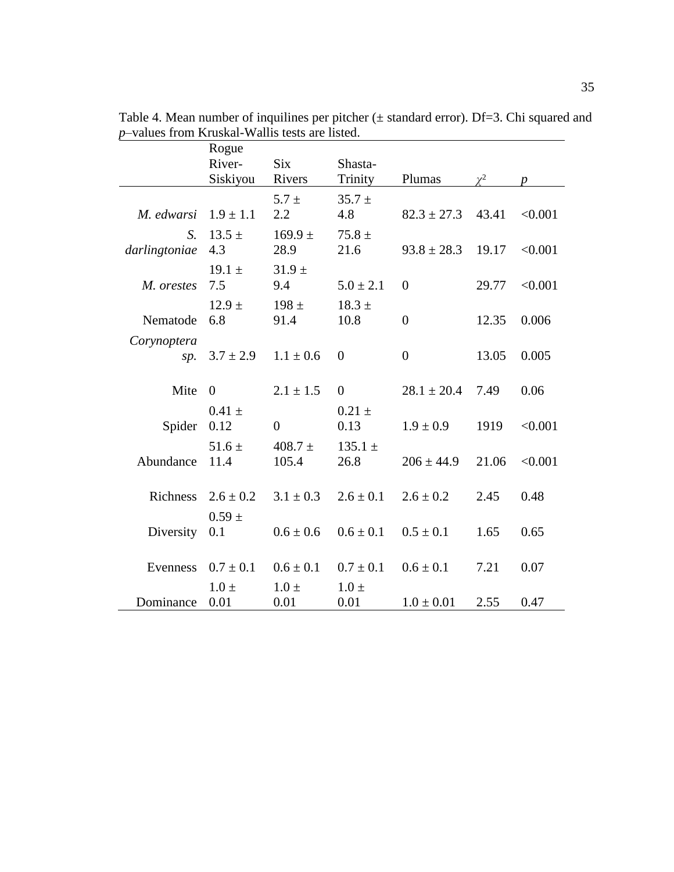|               | Rogue         |               |                |                  |          |                  |
|---------------|---------------|---------------|----------------|------------------|----------|------------------|
|               | River-        | <b>Six</b>    | Shasta-        |                  |          |                  |
|               | Siskiyou      | Rivers        | Trinity        | Plumas           | $\chi^2$ | $\boldsymbol{p}$ |
|               |               | $5.7 \pm$     | $35.7 \pm$     |                  |          |                  |
| M. edwarsi    | $1.9 \pm 1.1$ | 2.2           | 4.8            | $82.3 \pm 27.3$  | 43.41    | < 0.001          |
| $S_{\cdot}$   | $13.5 \pm$    | $169.9 \pm$   | $75.8 \pm$     |                  |          |                  |
| darlingtoniae | 4.3           | 28.9          | 21.6           | $93.8 \pm 28.3$  | 19.17    | < 0.001          |
|               | $19.1 \pm$    | $31.9 \pm$    |                |                  |          |                  |
| M. orestes    | 7.5           | 9.4           | $5.0 \pm 2.1$  | $\boldsymbol{0}$ | 29.77    | < 0.001          |
|               | $12.9 +$      | $198 +$       | $18.3 \pm$     |                  |          |                  |
| Nematode      | 6.8           | 91.4          | 10.8           | $\boldsymbol{0}$ | 12.35    | 0.006            |
| Corynoptera   |               |               |                |                  |          |                  |
| sp.           | $3.7 \pm 2.9$ | $1.1 \pm 0.6$ | $\overline{0}$ | $\overline{0}$   | 13.05    | 0.005            |
|               |               |               |                |                  |          |                  |
| Mite          | $\theta$      | $2.1 \pm 1.5$ | $\overline{0}$ | $28.1 \pm 20.4$  | 7.49     | 0.06             |
|               | $0.41 \pm$    |               | $0.21 \pm$     |                  |          |                  |
| Spider        | 0.12          | $\theta$      | 0.13           | $1.9 \pm 0.9$    | 1919     | < 0.001          |
|               | $51.6 \pm$    | $408.7 \pm$   | $135.1 \pm$    |                  |          |                  |
| Abundance     | 11.4          | 105.4         | 26.8           | $206 \pm 44.9$   | 21.06    | < 0.001          |
|               |               |               |                |                  |          |                  |
| Richness      | $2.6 \pm 0.2$ | $3.1 \pm 0.3$ | $2.6 \pm 0.1$  | $2.6 \pm 0.2$    | 2.45     | 0.48             |
|               | $0.59 \pm$    |               |                |                  |          |                  |
| Diversity     | 0.1           | $0.6 \pm 0.6$ | $0.6 \pm 0.1$  | $0.5 \pm 0.1$    | 1.65     | 0.65             |
|               |               |               |                |                  |          |                  |
| Evenness      | $0.7 \pm 0.1$ | $0.6 \pm 0.1$ | $0.7 \pm 0.1$  | $0.6 \pm 0.1$    | 7.21     | 0.07             |
|               | $1.0 \pm$     | $1.0 \pm$     | $1.0 \pm$      |                  |          |                  |
| Dominance     | 0.01          | 0.01          | 0.01           | $1.0 \pm 0.01$   | 2.55     | 0.47             |

<span id="page-41-0"></span>Table 4. Mean number of inquilines per pitcher  $(\pm$  standard error). Df=3. Chi squared and *p*–values from Kruskal-Wallis tests are listed.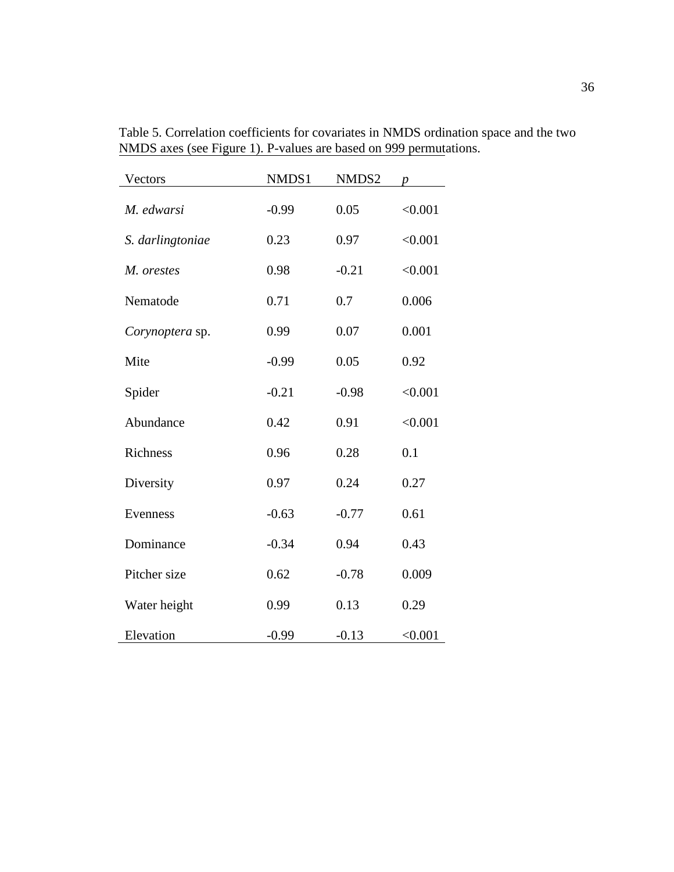| Vectors          | NMDS1   | NMDS2   | $\boldsymbol{p}$ |
|------------------|---------|---------|------------------|
| M. edwarsi       | $-0.99$ | 0.05    | < 0.001          |
| S. darlingtoniae | 0.23    | 0.97    | < 0.001          |
| M. orestes       | 0.98    | $-0.21$ | < 0.001          |
| Nematode         | 0.71    | 0.7     | 0.006            |
| Corynoptera sp.  | 0.99    | 0.07    | 0.001            |
| Mite             | $-0.99$ | 0.05    | 0.92             |
| Spider           | $-0.21$ | $-0.98$ | < 0.001          |
| Abundance        | 0.42    | 0.91    | < 0.001          |
| <b>Richness</b>  | 0.96    | 0.28    | 0.1              |
| Diversity        | 0.97    | 0.24    | 0.27             |
| Evenness         | $-0.63$ | $-0.77$ | 0.61             |
| Dominance        | $-0.34$ | 0.94    | 0.43             |
| Pitcher size     | 0.62    | $-0.78$ | 0.009            |
| Water height     | 0.99    | 0.13    | 0.29             |
| Elevation        | $-0.99$ | $-0.13$ | < 0.001          |

<span id="page-42-0"></span>Table 5. Correlation coefficients for covariates in NMDS ordination space and the two NMDS axes (see Figure 1). P-values are based on 999 permutations.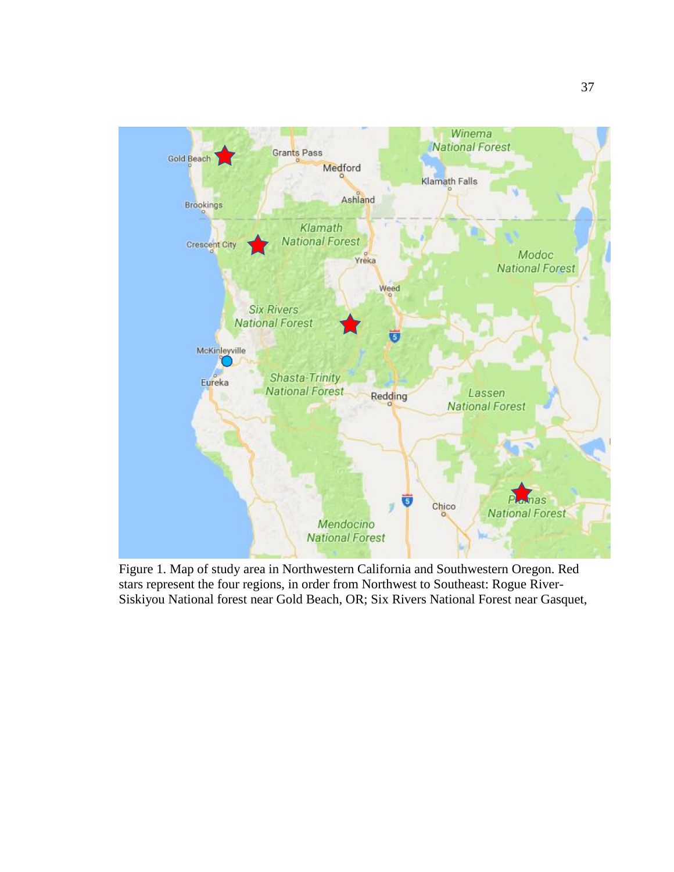<span id="page-43-0"></span>

Figure 1. Map of study area in Northwestern California and Southwestern Oregon. Red stars represent the four regions, in order from Northwest to Southeast: Rogue River-Siskiyou National forest near Gold Beach, OR; Six Rivers National Forest near Gasquet,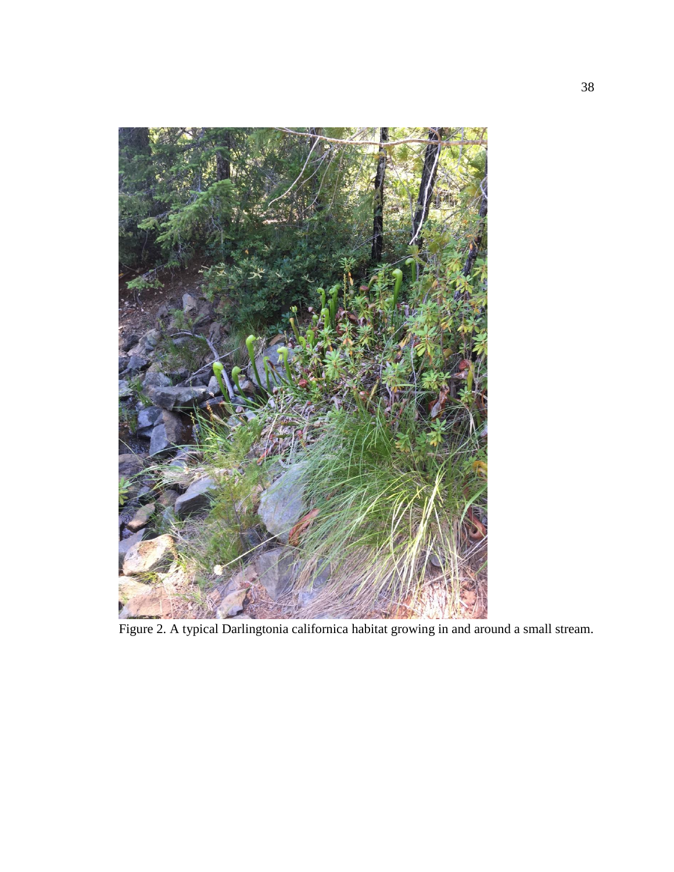<span id="page-44-0"></span>

Figure 2. A typical Darlingtonia californica habitat growing in and around a small stream.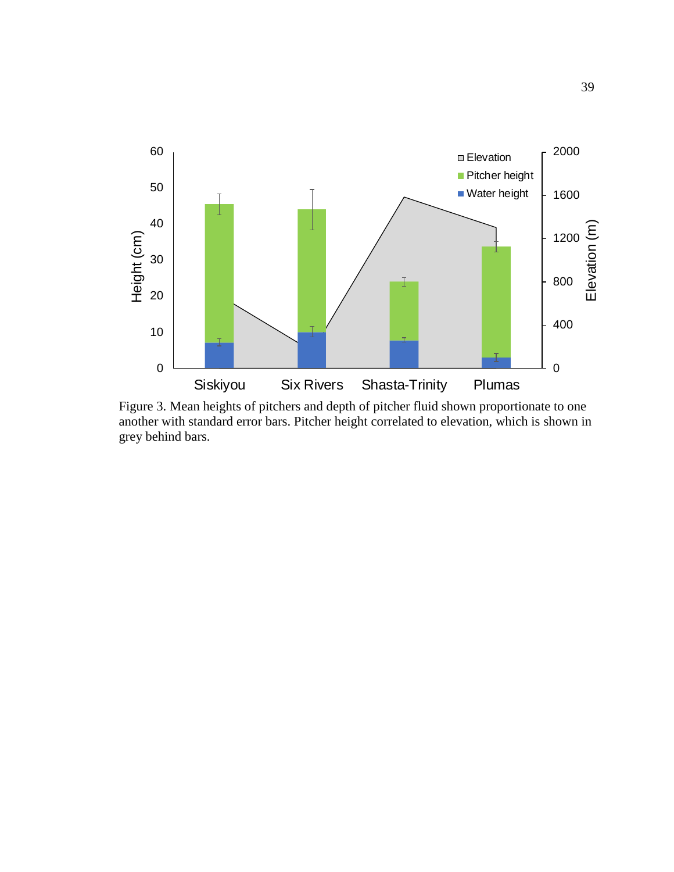

<span id="page-45-0"></span>Figure 3. Mean heights of pitchers and depth of pitcher fluid shown proportionate to one another with standard error bars. Pitcher height correlated to elevation, which is shown in grey behind bars.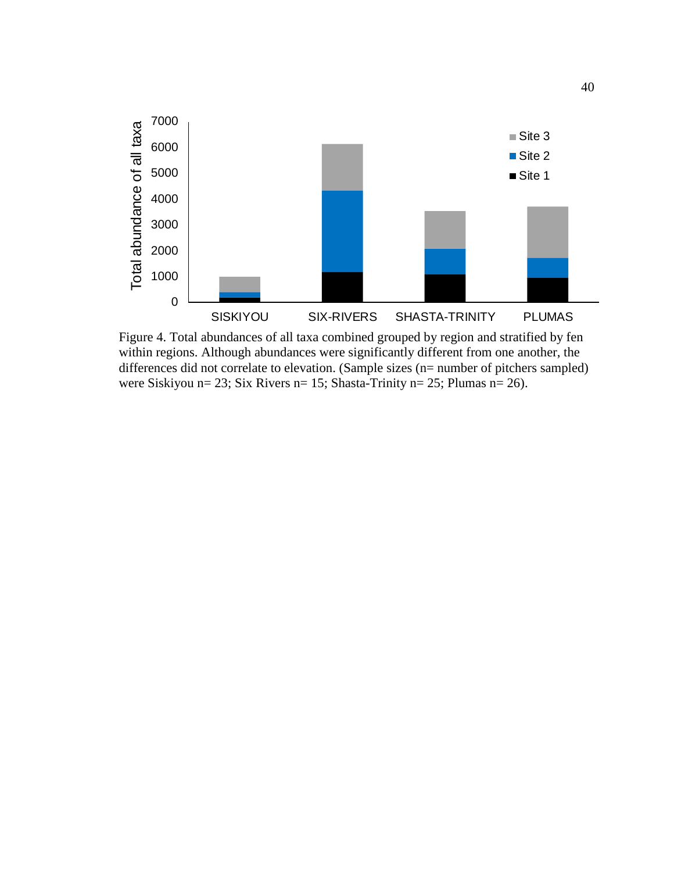

<span id="page-46-0"></span>Figure 4. Total abundances of all taxa combined grouped by region and stratified by fen within regions. Although abundances were significantly different from one another, the differences did not correlate to elevation. (Sample sizes (n= number of pitchers sampled) were Siskiyou n= 23; Six Rivers n= 15; Shasta-Trinity n= 25; Plumas n= 26).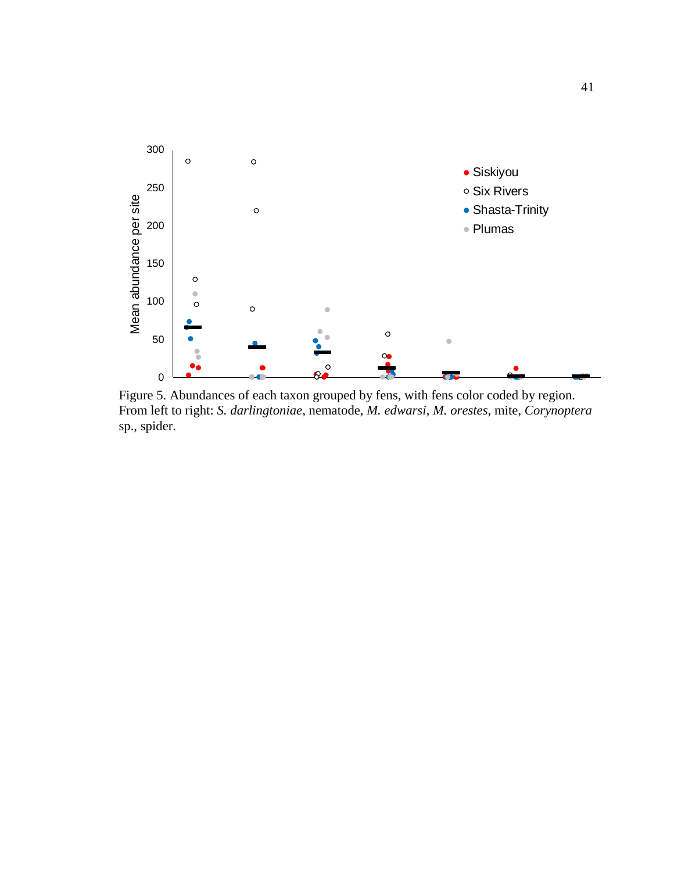

<span id="page-47-0"></span>Figure 5. Abundances of each taxon grouped by fens, with fens color coded by region. From left to right: *S. darlingtoniae*, nematode, *M. edwarsi*, *M. orestes*, mite, *Corynoptera* sp., spider.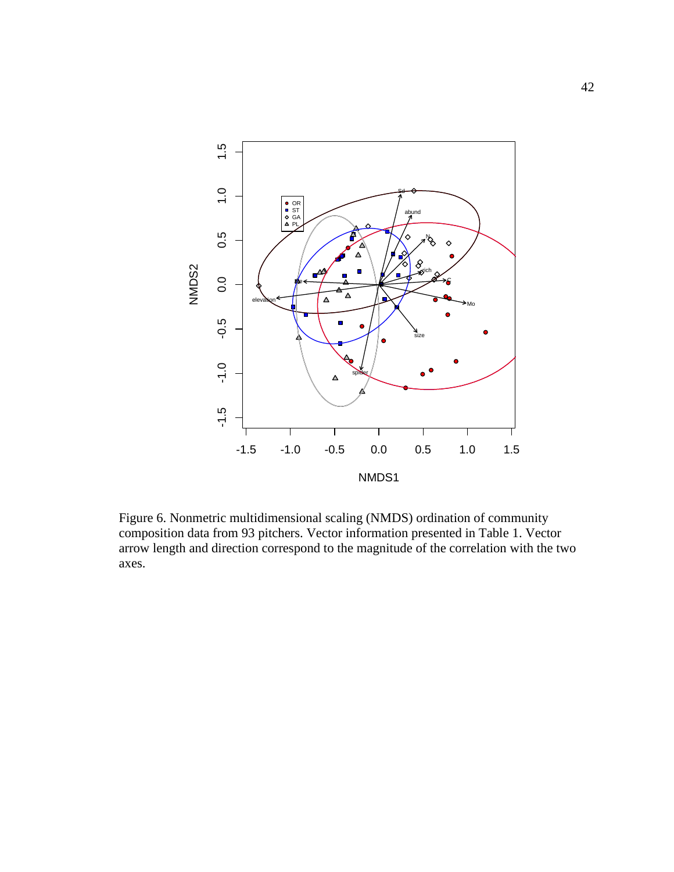

<span id="page-48-0"></span>Figure 6. Nonmetric multidimensional scaling (NMDS) ordination of community composition data from 93 pitchers. Vector information presented in Table 1. Vector arrow length and direction correspond to the magnitude of the correlation with the two axes.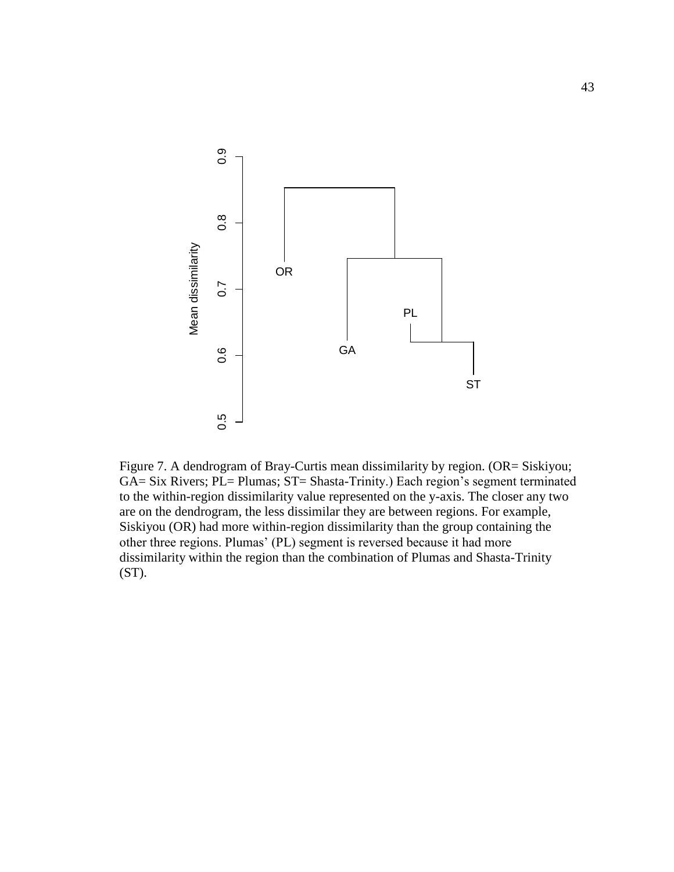

Figure 7. A dendrogram of Bray-Curtis mean dissimilarity by region. (OR= Siskiyou; GA= Six Rivers; PL= Plumas; ST= Shasta-Trinity.) Each region's segment terminated to the within-region dissimilarity value represented on the y-axis. The closer any two are on the dendrogram, the less dissimilar they are between regions. For example, Siskiyou (OR) had more within-region dissimilarity than the group containing the other three regions. Plumas' (PL) segment is reversed because it had more dissimilarity within the region than the combination of Plumas and Shasta-Trinity (ST).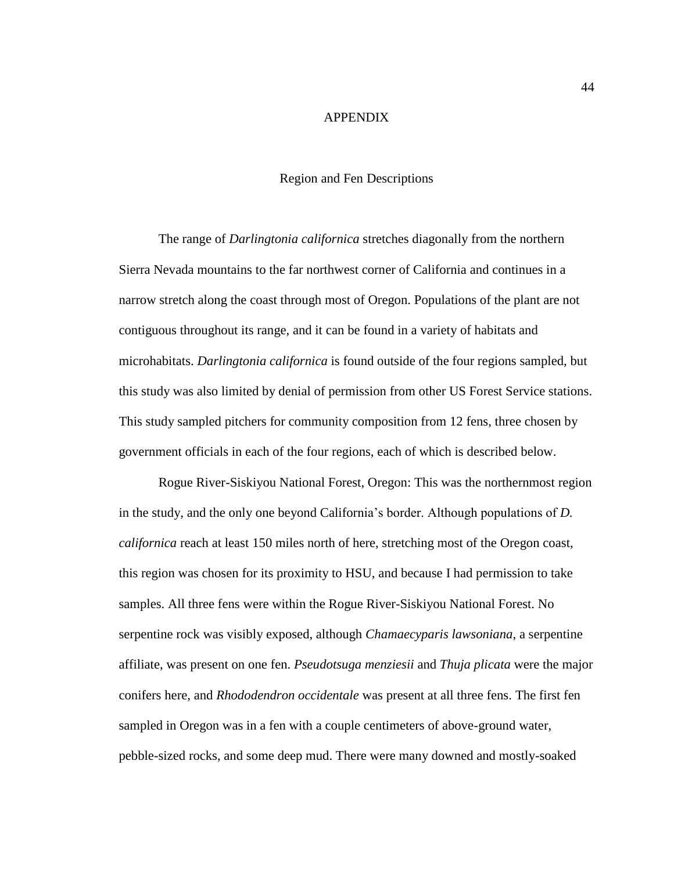#### APPENDIX

#### Region and Fen Descriptions

<span id="page-50-1"></span><span id="page-50-0"></span>The range of *Darlingtonia californica* stretches diagonally from the northern Sierra Nevada mountains to the far northwest corner of California and continues in a narrow stretch along the coast through most of Oregon. Populations of the plant are not contiguous throughout its range, and it can be found in a variety of habitats and microhabitats. *Darlingtonia californica* is found outside of the four regions sampled, but this study was also limited by denial of permission from other US Forest Service stations. This study sampled pitchers for community composition from 12 fens, three chosen by government officials in each of the four regions, each of which is described below.

Rogue River-Siskiyou National Forest, Oregon: This was the northernmost region in the study, and the only one beyond California's border. Although populations of *D. californica* reach at least 150 miles north of here, stretching most of the Oregon coast, this region was chosen for its proximity to HSU, and because I had permission to take samples. All three fens were within the Rogue River-Siskiyou National Forest. No serpentine rock was visibly exposed, although *Chamaecyparis lawsoniana*, a serpentine affiliate, was present on one fen. *Pseudotsuga menziesii* and *Thuja plicata* were the major conifers here, and *Rhododendron occidentale* was present at all three fens. The first fen sampled in Oregon was in a fen with a couple centimeters of above-ground water, pebble-sized rocks, and some deep mud. There were many downed and mostly-soaked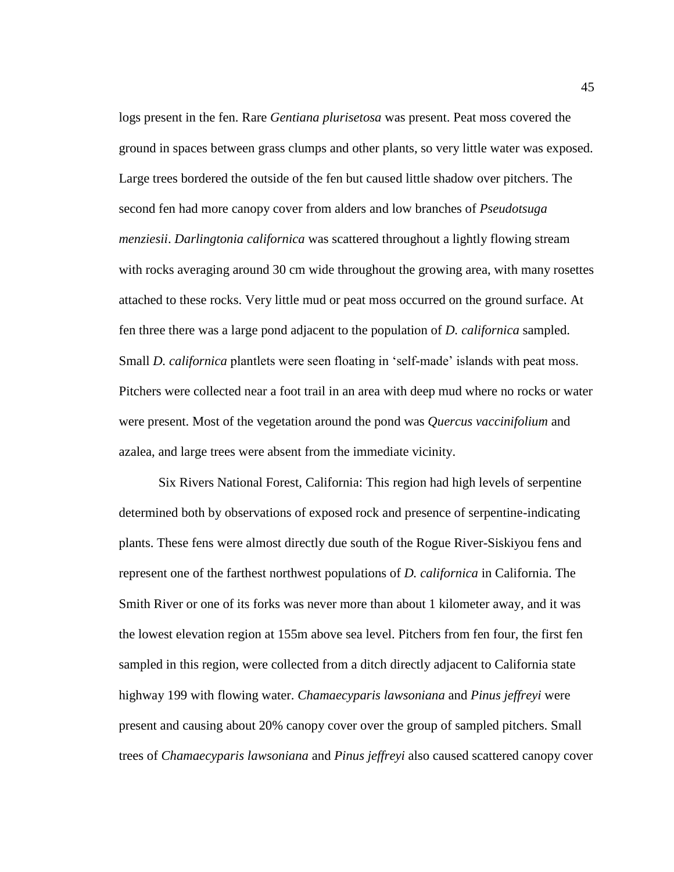logs present in the fen. Rare *Gentiana plurisetosa* was present. Peat moss covered the ground in spaces between grass clumps and other plants, so very little water was exposed. Large trees bordered the outside of the fen but caused little shadow over pitchers. The second fen had more canopy cover from alders and low branches of *Pseudotsuga menziesii*. *Darlingtonia californica* was scattered throughout a lightly flowing stream with rocks averaging around 30 cm wide throughout the growing area, with many rosettes attached to these rocks. Very little mud or peat moss occurred on the ground surface. At fen three there was a large pond adjacent to the population of *D. californica* sampled. Small *D. californica* plantlets were seen floating in 'self-made' islands with peat moss. Pitchers were collected near a foot trail in an area with deep mud where no rocks or water were present. Most of the vegetation around the pond was *Quercus vaccinifolium* and azalea, and large trees were absent from the immediate vicinity.

Six Rivers National Forest, California: This region had high levels of serpentine determined both by observations of exposed rock and presence of serpentine-indicating plants. These fens were almost directly due south of the Rogue River-Siskiyou fens and represent one of the farthest northwest populations of *D. californica* in California. The Smith River or one of its forks was never more than about 1 kilometer away, and it was the lowest elevation region at 155m above sea level. Pitchers from fen four, the first fen sampled in this region, were collected from a ditch directly adjacent to California state highway 199 with flowing water. *Chamaecyparis lawsoniana* and *Pinus jeffreyi* were present and causing about 20% canopy cover over the group of sampled pitchers. Small trees of *Chamaecyparis lawsoniana* and *Pinus jeffreyi* also caused scattered canopy cover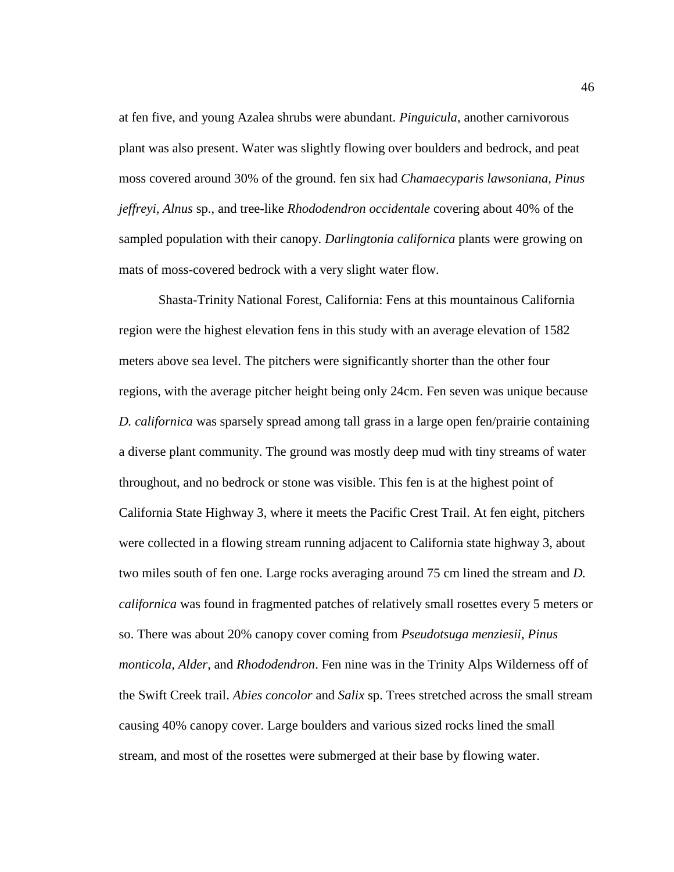at fen five, and young Azalea shrubs were abundant. *Pinguicula*, another carnivorous plant was also present. Water was slightly flowing over boulders and bedrock, and peat moss covered around 30% of the ground. fen six had *Chamaecyparis lawsoniana, Pinus jeffreyi, Alnus* sp., and tree-like *Rhododendron occidentale* covering about 40% of the sampled population with their canopy. *Darlingtonia californica* plants were growing on mats of moss-covered bedrock with a very slight water flow.

Shasta-Trinity National Forest, California: Fens at this mountainous California region were the highest elevation fens in this study with an average elevation of 1582 meters above sea level. The pitchers were significantly shorter than the other four regions, with the average pitcher height being only 24cm. Fen seven was unique because *D. californica* was sparsely spread among tall grass in a large open fen/prairie containing a diverse plant community. The ground was mostly deep mud with tiny streams of water throughout, and no bedrock or stone was visible. This fen is at the highest point of California State Highway 3, where it meets the Pacific Crest Trail. At fen eight, pitchers were collected in a flowing stream running adjacent to California state highway 3, about two miles south of fen one. Large rocks averaging around 75 cm lined the stream and *D. californica* was found in fragmented patches of relatively small rosettes every 5 meters or so. There was about 20% canopy cover coming from *Pseudotsuga menziesii, Pinus monticola, Alder*, and *Rhododendron*. Fen nine was in the Trinity Alps Wilderness off of the Swift Creek trail. *Abies concolor* and *Salix* sp. Trees stretched across the small stream causing 40% canopy cover. Large boulders and various sized rocks lined the small stream, and most of the rosettes were submerged at their base by flowing water.